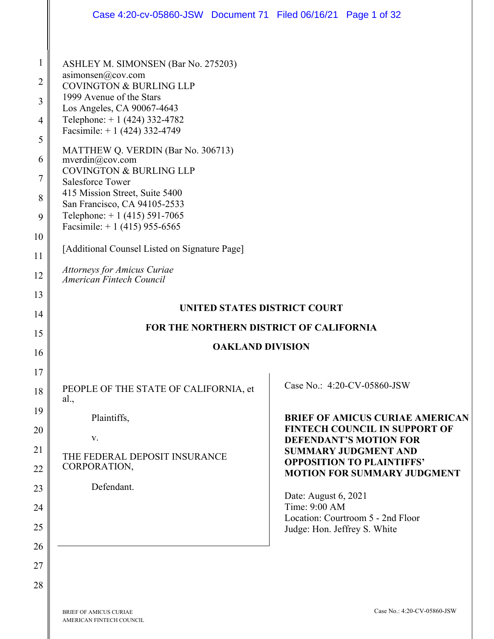|                                                                              | Case 4:20-cv-05860-JSW Document 71 Filed 06/16/21 Page 1 of 32                                                                                                                                                                                                                                                                                                                                                                                                                                                                                                                                                                                   |  |  |
|------------------------------------------------------------------------------|--------------------------------------------------------------------------------------------------------------------------------------------------------------------------------------------------------------------------------------------------------------------------------------------------------------------------------------------------------------------------------------------------------------------------------------------------------------------------------------------------------------------------------------------------------------------------------------------------------------------------------------------------|--|--|
| $\mathbf{1}$<br>2<br>3<br>4<br>5<br>6<br>7<br>8<br>9<br>10<br>11<br>12<br>13 | ASHLEY M. SIMONSEN (Bar No. 275203)<br>asimonsen@cov.com<br><b>COVINGTON &amp; BURLING LLP</b><br>1999 Avenue of the Stars<br>Los Angeles, CA 90067-4643<br>Telephone: $+1$ (424) 332-4782<br>Facsimile: $+ 1$ (424) 332-4749<br>MATTHEW Q. VERDIN (Bar No. 306713)<br>mverdin@cov.com<br><b>COVINGTON &amp; BURLING LLP</b><br><b>Salesforce Tower</b><br>415 Mission Street, Suite 5400<br>San Francisco, CA 94105-2533<br>Telephone: $+1$ (415) 591-7065<br>Facsimile: $+1$ (415) 955-6565<br>[Additional Counsel Listed on Signature Page]<br><b>Attorneys for Amicus Curiae</b><br>American Fintech Council<br>UNITED STATES DISTRICT COURT |  |  |
| 14                                                                           |                                                                                                                                                                                                                                                                                                                                                                                                                                                                                                                                                                                                                                                  |  |  |
| 15                                                                           | FOR THE NORTHERN DISTRICT OF CALIFORNIA<br><b>OAKLAND DIVISION</b>                                                                                                                                                                                                                                                                                                                                                                                                                                                                                                                                                                               |  |  |
| 16                                                                           |                                                                                                                                                                                                                                                                                                                                                                                                                                                                                                                                                                                                                                                  |  |  |
| 17<br>18<br>19<br>20<br>21<br>22<br>23<br>24<br>25<br>26<br>27               | Case No.: 4:20-CV-05860-JSW<br>PEOPLE OF THE STATE OF CALIFORNIA, et<br>al.,<br>Plaintiffs,<br><b>BRIEF OF AMICUS CURIAE AMERICAN</b><br><b>FINTECH COUNCIL IN SUPPORT OF</b><br>V.<br><b>DEFENDANT'S MOTION FOR</b><br><b>SUMMARY JUDGMENT AND</b><br>THE FEDERAL DEPOSIT INSURANCE<br><b>OPPOSITION TO PLAINTIFFS'</b><br>CORPORATION,<br><b>MOTION FOR SUMMARY JUDGMENT</b><br>Defendant.<br>Date: August 6, 2021<br>Time: 9:00 AM<br>Location: Courtroom 5 - 2nd Floor<br>Judge: Hon. Jeffrey S. White                                                                                                                                       |  |  |
| 28                                                                           |                                                                                                                                                                                                                                                                                                                                                                                                                                                                                                                                                                                                                                                  |  |  |

BRIEF OF AMICUS CURIAE AMERICAN FINTECH COUNCIL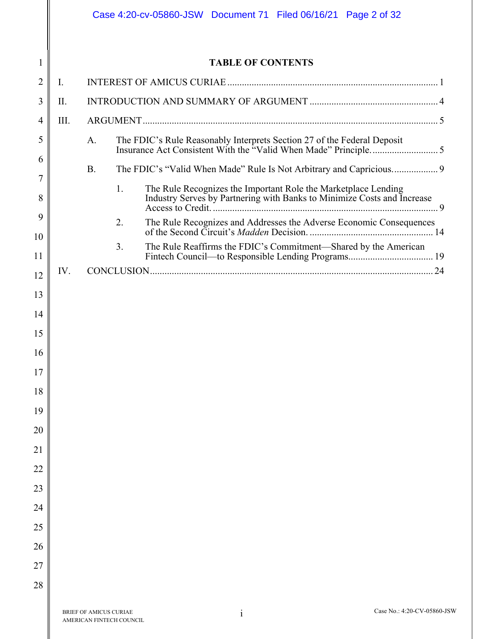|         |      |                                                           |    |                          | Case 4:20-cv-05860-JSW Document 71 Filed 06/16/21 Page 2 of 32          |                                                                     |  |
|---------|------|-----------------------------------------------------------|----|--------------------------|-------------------------------------------------------------------------|---------------------------------------------------------------------|--|
| 1       |      |                                                           |    | <b>TABLE OF CONTENTS</b> |                                                                         |                                                                     |  |
| 2       | I.   |                                                           |    |                          |                                                                         |                                                                     |  |
| 3       | II.  |                                                           |    |                          |                                                                         |                                                                     |  |
| 4       | III. |                                                           |    |                          |                                                                         |                                                                     |  |
| 5       |      | A.                                                        |    |                          | The FDIC's Rule Reasonably Interprets Section 27 of the Federal Deposit |                                                                     |  |
| 6<br>7  |      | <b>B.</b>                                                 |    |                          |                                                                         |                                                                     |  |
| 8       |      |                                                           | 1. |                          | The Rule Recognizes the Important Role the Marketplace Lending          |                                                                     |  |
| 9<br>10 |      |                                                           | 2. |                          |                                                                         | The Rule Recognizes and Addresses the Adverse Economic Consequences |  |
| 11      |      |                                                           | 3. |                          |                                                                         | The Rule Reaffirms the FDIC's Commitment-Shared by the American     |  |
| 12      | IV.  |                                                           |    |                          |                                                                         |                                                                     |  |
| 13      |      |                                                           |    |                          |                                                                         |                                                                     |  |
| 14      |      |                                                           |    |                          |                                                                         |                                                                     |  |
| 15      |      |                                                           |    |                          |                                                                         |                                                                     |  |
| 16      |      |                                                           |    |                          |                                                                         |                                                                     |  |
| 17      |      |                                                           |    |                          |                                                                         |                                                                     |  |
| 18      |      |                                                           |    |                          |                                                                         |                                                                     |  |
| 19      |      |                                                           |    |                          |                                                                         |                                                                     |  |
| 20      |      |                                                           |    |                          |                                                                         |                                                                     |  |
| 21      |      |                                                           |    |                          |                                                                         |                                                                     |  |
| 22      |      |                                                           |    |                          |                                                                         |                                                                     |  |
| 23      |      |                                                           |    |                          |                                                                         |                                                                     |  |
| 24      |      |                                                           |    |                          |                                                                         |                                                                     |  |
| 25      |      |                                                           |    |                          |                                                                         |                                                                     |  |
| 26      |      |                                                           |    |                          |                                                                         |                                                                     |  |
| 27      |      |                                                           |    |                          |                                                                         |                                                                     |  |
| 28      |      |                                                           |    |                          |                                                                         |                                                                     |  |
|         |      | BRIEF OF AMICUS CURIAE<br><b>AMERICAN FINTECH COUNCIL</b> |    | $\mathbf{i}$             |                                                                         | Case No.: 4:20-CV-05860-JSW                                         |  |

II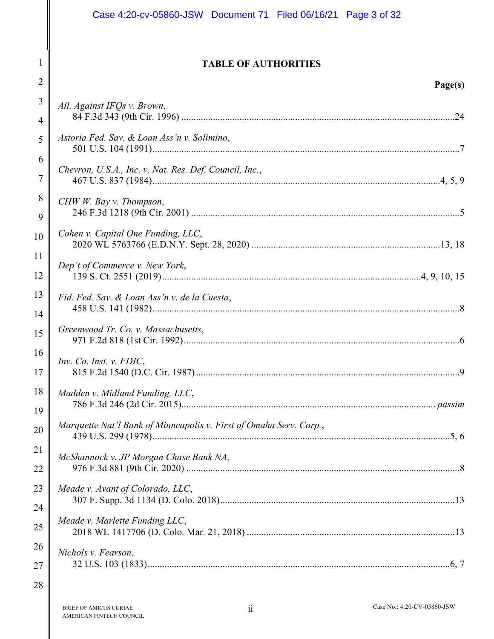|          | Case 4:20-cv-05860-JSW Document 71 Filed 06/16/21 Page 3 of 32     |  |
|----------|--------------------------------------------------------------------|--|
|          |                                                                    |  |
|          | <b>TABLE OF AUTHORITIES</b>                                        |  |
| 2        | Page(s)                                                            |  |
| 3        | All. Against IFOs v. Brown,                                        |  |
| 4        |                                                                    |  |
| 5        | Astoria Fed. Sav. & Loan Ass'n v. Solimino,                        |  |
| 6<br>7   | Chevron, U.S.A., Inc. v. Nat. Res. Def. Council, Inc.,             |  |
| 8        | CHW W. Bay v. Thompson,                                            |  |
| 9        |                                                                    |  |
| 10       | Cohen v. Capital One Funding, LLC,                                 |  |
| 11<br>12 | Dep't of Commerce v. New York,                                     |  |
| 13<br>14 | Fid. Fed. Sav. & Loan Ass'n v. de la Cuesta,                       |  |
| 15       | Greenwood Tr. Co. v. Massachusetts,                                |  |
| 16<br>17 | Inv. Co. Inst. v. FDIC,                                            |  |
| 18       | Madden v. Midland Funding, LLC,                                    |  |
| 19       |                                                                    |  |
| 20       | Marquette Nat'l Bank of Minneapolis v. First of Omaha Serv. Corp., |  |
| 21       | McShannock v. JP Morgan Chase Bank NA,                             |  |
| 22       |                                                                    |  |
| 23       | Meade v. Avant of Colorado, LLC,                                   |  |
| 24       | Meade v. Marlette Funding LLC,                                     |  |
| 25       |                                                                    |  |
| 26       | Nichols v. Fearson,                                                |  |
| 27       |                                                                    |  |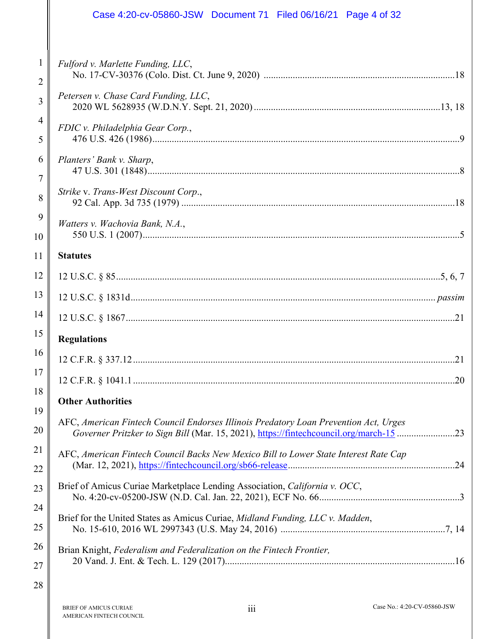|                     | Case 4:20-cv-05860-JSW Document 71 Filed 06/16/21 Page 4 of 32                                                                                                                 |
|---------------------|--------------------------------------------------------------------------------------------------------------------------------------------------------------------------------|
| 1<br>$\overline{2}$ | Fulford v. Marlette Funding, LLC,                                                                                                                                              |
| 3                   | Petersen v. Chase Card Funding, LLC,                                                                                                                                           |
| 4<br>5              | FDIC v. Philadelphia Gear Corp.,                                                                                                                                               |
| 6                   | Planters' Bank v. Sharp,                                                                                                                                                       |
| $\overline{7}$<br>8 | Strike v. Trans-West Discount Corp.,                                                                                                                                           |
| 9<br>10             | Watters v. Wachovia Bank, N.A.,                                                                                                                                                |
| 11                  | <b>Statutes</b>                                                                                                                                                                |
| 12                  |                                                                                                                                                                                |
| 13                  |                                                                                                                                                                                |
| 14                  |                                                                                                                                                                                |
| 15                  | <b>Regulations</b>                                                                                                                                                             |
| 16                  | .21                                                                                                                                                                            |
| 17                  |                                                                                                                                                                                |
| 18                  | <b>Other Authorities</b>                                                                                                                                                       |
| 19<br>20            | AFC, American Fintech Council Endorses Illinois Predatory Loan Prevention Act, Urges<br>Governer Pritzker to Sign Bill (Mar. 15, 2021), https://fintechcouncil.org/march-15 23 |
| 21<br>22            | AFC, American Fintech Council Backs New Mexico Bill to Lower State Interest Rate Cap                                                                                           |
| 23                  | Brief of Amicus Curiae Marketplace Lending Association, California v. OCC,                                                                                                     |
| 24<br>25            | Brief for the United States as Amicus Curiae, Midland Funding, LLC v. Madden,                                                                                                  |
| 26                  | Brian Knight, Federalism and Federalization on the Fintech Frontier,                                                                                                           |
| 27                  |                                                                                                                                                                                |
| 28                  |                                                                                                                                                                                |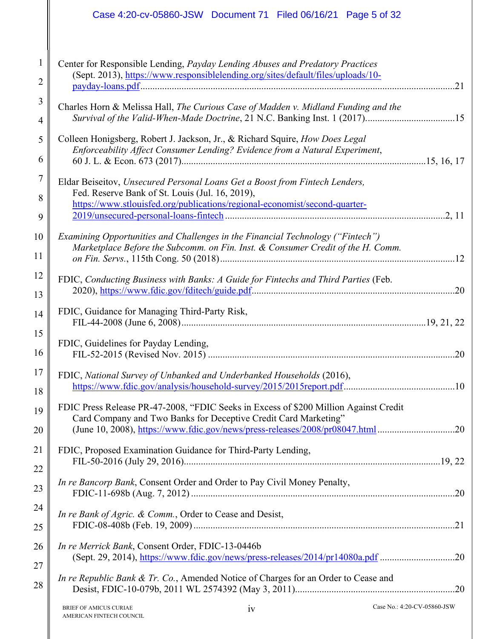|          | Case 4:20-cv-05860-JSW Document 71 Filed 06/16/21 Page 5 of 32                                                                                                                                                                            |
|----------|-------------------------------------------------------------------------------------------------------------------------------------------------------------------------------------------------------------------------------------------|
| 2        | Center for Responsible Lending, Payday Lending Abuses and Predatory Practices<br>(Sept. 2013), https://www.responsiblelending.org/sites/default/files/uploads/10-<br>.21                                                                  |
| 3<br>4   | Charles Horn & Melissa Hall, The Curious Case of Madden v. Midland Funding and the<br>Survival of the Valid-When-Made Doctrine, 21 N.C. Banking Inst. 1 (2017)15                                                                          |
| 5<br>6   | Colleen Honigsberg, Robert J. Jackson, Jr., & Richard Squire, How Does Legal<br>Enforceability Affect Consumer Lending? Evidence from a Natural Experiment,                                                                               |
| 7<br>8   | Eldar Beiseitov, Unsecured Personal Loans Get a Boost from Fintech Lenders,<br>Fed. Reserve Bank of St. Louis (Jul. 16, 2019),                                                                                                            |
| 9        | https://www.stlouisfed.org/publications/regional-economist/second-quarter-                                                                                                                                                                |
| 10<br>11 | Examining Opportunities and Challenges in the Financial Technology ("Fintech")<br>Marketplace Before the Subcomm. on Fin. Inst. & Consumer Credit of the H. Comm.                                                                         |
| 12<br>13 | FDIC, Conducting Business with Banks: A Guide for Fintechs and Third Parties (Feb.                                                                                                                                                        |
| 14<br>15 | FDIC, Guidance for Managing Third-Party Risk,                                                                                                                                                                                             |
| 16       | FDIC, Guidelines for Payday Lending,                                                                                                                                                                                                      |
| 17<br>18 | FDIC, National Survey of Unbanked and Underbanked Households (2016),                                                                                                                                                                      |
| 19<br>20 | FDIC Press Release PR-47-2008, "FDIC Seeks in Excess of \$200 Million Against Credit<br>Card Company and Two Banks for Deceptive Credit Card Marketing"<br>(June 10, 2008), https://www.fdic.gov/news/press-releases/2008/pr08047.html 20 |
| 21<br>22 | FDIC, Proposed Examination Guidance for Third-Party Lending,                                                                                                                                                                              |
| 23       | In re Bancorp Bank, Consent Order and Order to Pay Civil Money Penalty,                                                                                                                                                                   |
| 24<br>25 | In re Bank of Agric. & Comm., Order to Cease and Desist,                                                                                                                                                                                  |
| 26<br>27 | In re Merrick Bank, Consent Order, FDIC-13-0446b<br>(Sept. 29, 2014), https://www.fdic.gov/news/press-releases/2014/pr14080a.pdf 20                                                                                                       |
| 28       | In re Republic Bank & Tr. Co., Amended Notice of Charges for an Order to Cease and                                                                                                                                                        |
|          |                                                                                                                                                                                                                                           |

 $\mathbb{I}$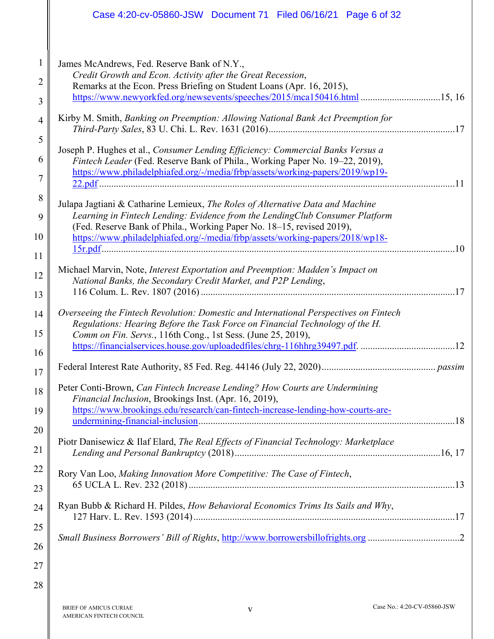|                | Case 4:20-cv-05860-JSW Document 71 Filed 06/16/21 Page 6 of 32                                                                                                                                                                                   |
|----------------|--------------------------------------------------------------------------------------------------------------------------------------------------------------------------------------------------------------------------------------------------|
| 1              | James McAndrews, Fed. Reserve Bank of N.Y.,                                                                                                                                                                                                      |
| 2              | Credit Growth and Econ. Activity after the Great Recession,<br>Remarks at the Econ. Press Briefing on Student Loans (Apr. 16, 2015),                                                                                                             |
| 3              | https://www.newyorkfed.org/newsevents/speeches/2015/mca150416.html 15, 16                                                                                                                                                                        |
| $\overline{4}$ | Kirby M. Smith, Banking on Preemption: Allowing National Bank Act Preemption for                                                                                                                                                                 |
| 5<br>6<br>7    | Joseph P. Hughes et al., Consumer Lending Efficiency: Commercial Banks Versus a<br>Fintech Leader (Fed. Reserve Bank of Phila., Working Paper No. 19-22, 2019),<br>https://www.philadelphiafed.org/-/media/frbp/assets/working-papers/2019/wp19- |
|                |                                                                                                                                                                                                                                                  |
| 8              | Julapa Jagtiani & Catharine Lemieux, The Roles of Alternative Data and Machine                                                                                                                                                                   |
| 9              | Learning in Fintech Lending: Evidence from the LendingClub Consumer Platform<br>(Fed. Reserve Bank of Phila., Working Paper No. 18-15, revised 2019),                                                                                            |
| 10             | https://www.philadelphiafed.org/-/media/frbp/assets/working-papers/2018/wp18-                                                                                                                                                                    |
| 11             |                                                                                                                                                                                                                                                  |
| 12             | Michael Marvin, Note, Interest Exportation and Preemption: Madden's Impact on                                                                                                                                                                    |
| 13             | National Banks, the Secondary Credit Market, and P2P Lending,                                                                                                                                                                                    |
| 14             | Overseeing the Fintech Revolution: Domestic and International Perspectives on Fintech<br>Regulations: Hearing Before the Task Force on Financial Technology of the H.                                                                            |
| 15             | Comm on Fin. Servs., 116th Cong., 1st Sess. (June 25, 2019),                                                                                                                                                                                     |
| 16             |                                                                                                                                                                                                                                                  |
| 17             |                                                                                                                                                                                                                                                  |
| 18             | Peter Conti-Brown, Can Fintech Increase Lending? How Courts are Undermining<br>Financial Inclusion, Brookings Inst. (Apr. 16, 2019),                                                                                                             |
| 19             | https://www.brookings.edu/research/can-fintech-increase-lending-how-courts-are-                                                                                                                                                                  |
| 20             |                                                                                                                                                                                                                                                  |
| 21             | Piotr Danisewicz & Ilaf Elard, The Real Effects of Financial Technology: Marketplace                                                                                                                                                             |
| 22             | Rory Van Loo, Making Innovation More Competitive: The Case of Fintech,                                                                                                                                                                           |
| 23             |                                                                                                                                                                                                                                                  |
| 24             | Ryan Bubb & Richard H. Pildes, How Behavioral Economics Trims Its Sails and Why,                                                                                                                                                                 |
| 25             |                                                                                                                                                                                                                                                  |
| 26             |                                                                                                                                                                                                                                                  |
| 27             |                                                                                                                                                                                                                                                  |
| 28             |                                                                                                                                                                                                                                                  |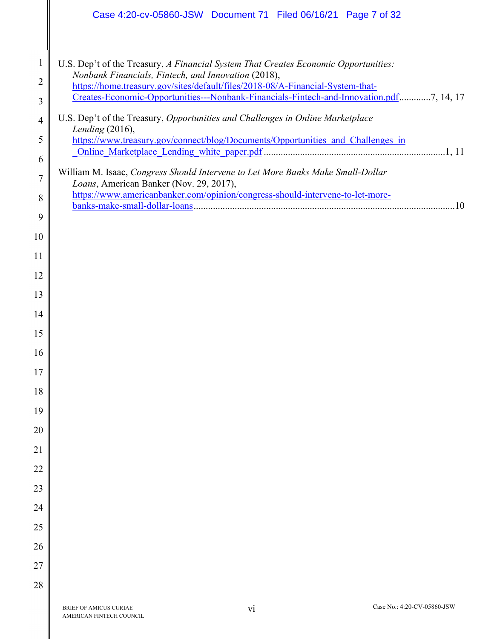|                                          | Case 4:20-cv-05860-JSW Document 71 Filed 06/16/21 Page 7 of 32                                                                                                                                                                                                                                                                                                                                            |
|------------------------------------------|-----------------------------------------------------------------------------------------------------------------------------------------------------------------------------------------------------------------------------------------------------------------------------------------------------------------------------------------------------------------------------------------------------------|
| $\mathbf{1}$<br>2<br>3<br>$\overline{4}$ | U.S. Dep't of the Treasury, A Financial System That Creates Economic Opportunities:<br>Nonbank Financials, Fintech, and Innovation (2018),<br>https://home.treasury.gov/sites/default/files/2018-08/A-Financial-System-that-<br>Creates-Economic-Opportunities---Nonbank-Financials-Fintech-and-Innovation.pdf7, 14, 17<br>U.S. Dep't of the Treasury, Opportunities and Challenges in Online Marketplace |
| 5                                        | Lending (2016),<br>https://www.treasury.gov/connect/blog/Documents/Opportunities_and_Challenges_in                                                                                                                                                                                                                                                                                                        |
| 6                                        |                                                                                                                                                                                                                                                                                                                                                                                                           |
| 7                                        | William M. Isaac, Congress Should Intervene to Let More Banks Make Small-Dollar                                                                                                                                                                                                                                                                                                                           |
|                                          | Loans, American Banker (Nov. 29, 2017),<br>https://www.americanbanker.com/opinion/congress-should-intervene-to-let-more-                                                                                                                                                                                                                                                                                  |
| 8                                        |                                                                                                                                                                                                                                                                                                                                                                                                           |
| 9                                        |                                                                                                                                                                                                                                                                                                                                                                                                           |
| 10                                       |                                                                                                                                                                                                                                                                                                                                                                                                           |
| 11<br>12                                 |                                                                                                                                                                                                                                                                                                                                                                                                           |
| 13                                       |                                                                                                                                                                                                                                                                                                                                                                                                           |
| 14                                       |                                                                                                                                                                                                                                                                                                                                                                                                           |
| 15                                       |                                                                                                                                                                                                                                                                                                                                                                                                           |
| 16                                       |                                                                                                                                                                                                                                                                                                                                                                                                           |
| 17                                       |                                                                                                                                                                                                                                                                                                                                                                                                           |
| 18                                       |                                                                                                                                                                                                                                                                                                                                                                                                           |
| 19                                       |                                                                                                                                                                                                                                                                                                                                                                                                           |
| 20                                       |                                                                                                                                                                                                                                                                                                                                                                                                           |
| 21                                       |                                                                                                                                                                                                                                                                                                                                                                                                           |
| 22                                       |                                                                                                                                                                                                                                                                                                                                                                                                           |
| 23                                       |                                                                                                                                                                                                                                                                                                                                                                                                           |
| 24                                       |                                                                                                                                                                                                                                                                                                                                                                                                           |
| 25                                       |                                                                                                                                                                                                                                                                                                                                                                                                           |
| 26                                       |                                                                                                                                                                                                                                                                                                                                                                                                           |
| 27                                       |                                                                                                                                                                                                                                                                                                                                                                                                           |
| 28                                       |                                                                                                                                                                                                                                                                                                                                                                                                           |
|                                          | Case No.: 4:20-CV-05860-JSW<br>vi<br>BRIEF OF AMICUS CURIAE<br>AMERICAN FINTECH COUNCIL                                                                                                                                                                                                                                                                                                                   |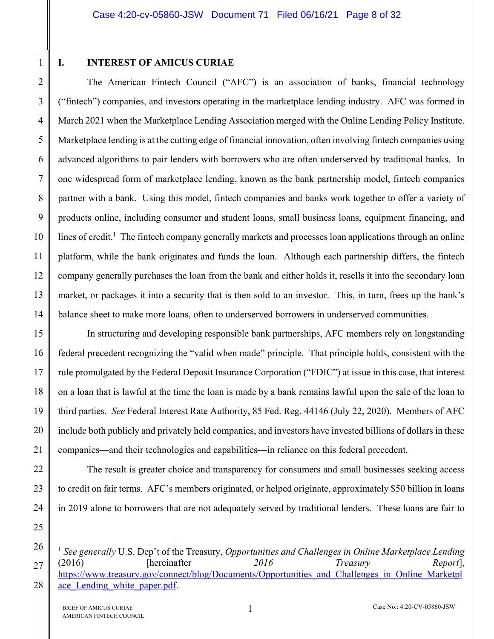1

2

3

4

5

6

7

8

9

10

11

12

13

14

22

23

24

25

26

 $\overline{a}$ 

27

28

## **I. INTEREST OF AMICUS CURIAE**

The American Fintech Council ("AFC") is an association of banks, financial technology ("fintech") companies, and investors operating in the marketplace lending industry. AFC was formed in March 2021 when the Marketplace Lending Association merged with the Online Lending Policy Institute. Marketplace lending is at the cutting edge of financial innovation, often involving fintech companies using advanced algorithms to pair lenders with borrowers who are often underserved by traditional banks. In one widespread form of marketplace lending, known as the bank partnership model, fintech companies partner with a bank. Using this model, fintech companies and banks work together to offer a variety of products online, including consumer and student loans, small business loans, equipment financing, and lines of credit.<sup>1</sup> The fintech company generally markets and processes loan applications through an online platform, while the bank originates and funds the loan. Although each partnership differs, the fintech company generally purchases the loan from the bank and either holds it, resells it into the secondary loan market, or packages it into a security that is then sold to an investor. This, in turn, frees up the bank's balance sheet to make more loans, often to underserved borrowers in underserved communities.

15 16 17 18 19 20 21 In structuring and developing responsible bank partnerships, AFC members rely on longstanding federal precedent recognizing the "valid when made" principle. That principle holds, consistent with the rule promulgated by the Federal Deposit Insurance Corporation ("FDIC") at issue in this case, that interest on a loan that is lawful at the time the loan is made by a bank remains lawful upon the sale of the loan to third parties. *See* Federal Interest Rate Authority, 85 Fed. Reg. 44146 (July 22, 2020). Members of AFC include both publicly and privately held companies, and investors have invested billions of dollars in these companies—and their technologies and capabilities—in reliance on this federal precedent.

The result is greater choice and transparency for consumers and small businesses seeking access to credit on fair terms. AFC's members originated, or helped originate, approximately \$50 billion in loans in 2019 alone to borrowers that are not adequately served by traditional lenders. These loans are fair to

<sup>1</sup> *See generally* U.S. Dep't of the Treasury, *Opportunities and Challenges in Online Marketplace Lending* (2016) [hereinafter *2016 Treasury Report*], [https://www.treasury.gov/connect/blog/Documents/Opportunities\\_and\\_Challenges\\_in\\_Online\\_Marketpl](https://www.treasury.gov/connect/blog/Documents/Opportunities_and_Challenges_in_Online_Marketplace_Lending_white_paper.pdf) ace Lending white paper.pdf.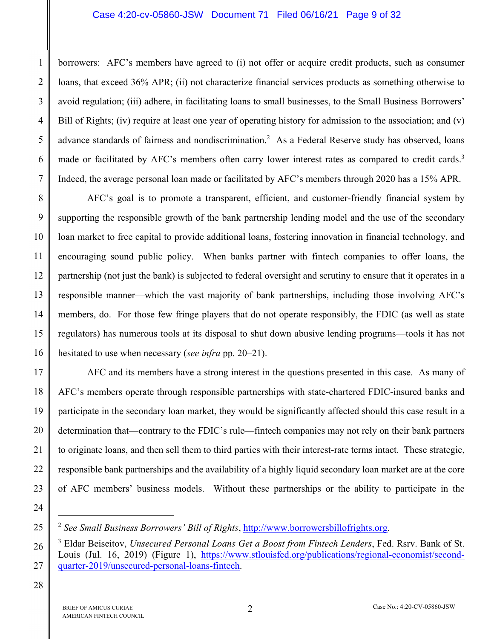borrowers: AFC's members have agreed to (i) not offer or acquire credit products, such as consumer loans, that exceed 36% APR; (ii) not characterize financial services products as something otherwise to avoid regulation; (iii) adhere, in facilitating loans to small businesses, to the Small Business Borrowers' Bill of Rights; (iv) require at least one year of operating history for admission to the association; and (v) advance standards of fairness and nondiscrimination.<sup>2</sup> As a Federal Reserve study has observed, loans made or facilitated by AFC's members often carry lower interest rates as compared to credit cards.<sup>3</sup> Indeed, the average personal loan made or facilitated by AFC's members through 2020 has a 15% APR.

8 9 10 11 12 13 14 15 16 AFC's goal is to promote a transparent, efficient, and customer-friendly financial system by supporting the responsible growth of the bank partnership lending model and the use of the secondary loan market to free capital to provide additional loans, fostering innovation in financial technology, and encouraging sound public policy. When banks partner with fintech companies to offer loans, the partnership (not just the bank) is subjected to federal oversight and scrutiny to ensure that it operates in a responsible manner—which the vast majority of bank partnerships, including those involving AFC's members, do. For those few fringe players that do not operate responsibly, the FDIC (as well as state regulators) has numerous tools at its disposal to shut down abusive lending programs—tools it has not hesitated to use when necessary (*see infra* pp. 20–21).

17 18 19 20 21 22 23 AFC and its members have a strong interest in the questions presented in this case. As many of AFC's members operate through responsible partnerships with state-chartered FDIC-insured banks and participate in the secondary loan market, they would be significantly affected should this case result in a determination that—contrary to the FDIC's rule—fintech companies may not rely on their bank partners to originate loans, and then sell them to third parties with their interest-rate terms intact. These strategic, responsible bank partnerships and the availability of a highly liquid secondary loan market are at the core of AFC members' business models. Without these partnerships or the ability to participate in the

24

<u>.</u>

25

26

27

1

2

3

4

5

6

<sup>2</sup> *See Small Business Borrowers' Bill of Rights*, [http://www.borrowersbillofrights.org.](http://www.borrowersbillofrights.org) 

<sup>3</sup> Eldar Beiseitov, *Unsecured Personal Loans Get a Boost from Fintech Lenders*, Fed. Rsrv. Bank of St. [Louis \(Jul. 16, 2019\) \(Figure 1\), https://www.stlouisfed.org/publications/regional-economist/second](https://www.stlouisfed.org/publications/regional-economist/second-quarter-2019/unsecured-personal-loans-fintech)quarter-[2019/unsecured-personal-loans-fintech.](https://www.stlouisfed.org/publications/regional-economist/second-quarter-2019/unsecured-personal-loans-fintech)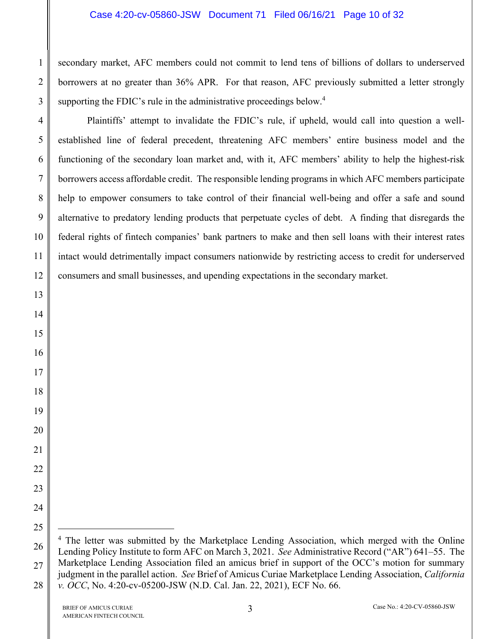#### Case 4:20-cv-05860-JSW Document 71 Filed 06/16/21 Page 10 of 32

secondary market, AFC members could not commit to lend tens of billions of dollars to underserved borrowers at no greater than 36% APR. For that reason, AFC previously submitted a letter strongly supporting the FDIC's rule in the administrative proceedings below.<sup>4</sup>

Plaintiffs' attempt to invalidate the FDIC's rule, if upheld, would call into question a wellestablished line of federal precedent, threatening AFC members' entire business model and the functioning of the secondary loan market and, with it, AFC members' ability to help the highest-risk borrowers access affordable credit. The responsible lending programs in which AFC members participate help to empower consumers to take control of their financial well-being and offer a safe and sound alternative to predatory lending products that perpetuate cycles of debt. A finding that disregards the federal rights of fintech companies' bank partners to make and then sell loans with their interest rates intact would detrimentally impact consumers nationwide by restricting access to credit for underserved consumers and small businesses, and upending expectations in the secondary market.

1

2

3

4

5

6

7

8

9

10

11

12

13

14

15

16

17

18

19

20

21

22

23

24

25

1

<sup>26</sup>  28 <sup>4</sup> The letter was submitted by the Marketplace Lending Association, which merged with the Online Lending Policy Institute to form AFC on March 3, 2021. *See* Administrative Record ("AR") 641–55. The Marketplace Lending Association filed an amicus brief in support of the OCC's motion for summary judgment in the parallel action. *See* Brief of Amicus Curiae Marketplace Lending Association, *California v. OCC*, No. 4:20-cv-05200-JSW (N.D. Cal. Jan. 22, 2021), ECF No. 66.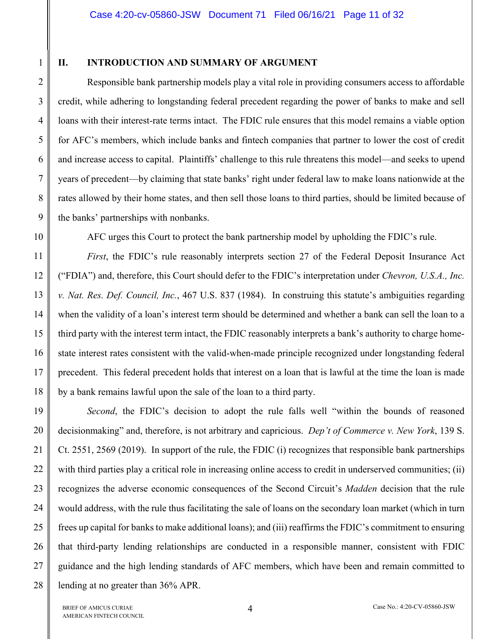1

2

3

4

5

6

7

8

9

10

11

12

13

14

15

16

17

18

### **II. INTRODUCTION AND SUMMARY OF ARGUMENT**

Responsible bank partnership models play a vital role in providing consumers access to affordable credit, while adhering to longstanding federal precedent regarding the power of banks to make and sell loans with their interest-rate terms intact. The FDIC rule ensures that this model remains a viable option for AFC's members, which include banks and fintech companies that partner to lower the cost of credit and increase access to capital. Plaintiffs' challenge to this rule threatens this model—and seeks to upend years of precedent—by claiming that state banks' right under federal law to make loans nationwide at the rates allowed by their home states, and then sell those loans to third parties, should be limited because of the banks' partnerships with nonbanks.

AFC urges this Court to protect the bank partnership model by upholding the FDIC's rule.

*First*, the FDIC's rule reasonably interprets section 27 of the Federal Deposit Insurance Act ("FDIA") and, therefore, this Court should defer to the FDIC's interpretation under *Chevron, U.S.A., Inc. v. Nat. Res. Def. Council, Inc.*, 467 U.S. 837 (1984). In construing this statute's ambiguities regarding when the validity of a loan's interest term should be determined and whether a bank can sell the loan to a third party with the interest term intact, the FDIC reasonably interprets a bank's authority to charge homestate interest rates consistent with the valid-when-made principle recognized under longstanding federal precedent. This federal precedent holds that interest on a loan that is lawful at the time the loan is made by a bank remains lawful upon the sale of the loan to a third party.

19 20 21 22 23 24 25 26 27 28 *Second*, the FDIC's decision to adopt the rule falls well "within the bounds of reasoned decisionmaking" and, therefore, is not arbitrary and capricious. *Dep't of Commerce v. New York*, 139 S. Ct. 2551, 2569 (2019). In support of the rule, the FDIC (i) recognizes that responsible bank partnerships with third parties play a critical role in increasing online access to credit in underserved communities; (ii) recognizes the adverse economic consequences of the Second Circuit's *Madden* decision that the rule would address, with the rule thus facilitating the sale of loans on the secondary loan market (which in turn frees up capital for banks to make additional loans); and (iii) reaffirms the FDIC's commitment to ensuring that third-party lending relationships are conducted in a responsible manner, consistent with FDIC guidance and the high lending standards of AFC members, which have been and remain committed to lending at no greater than 36% APR.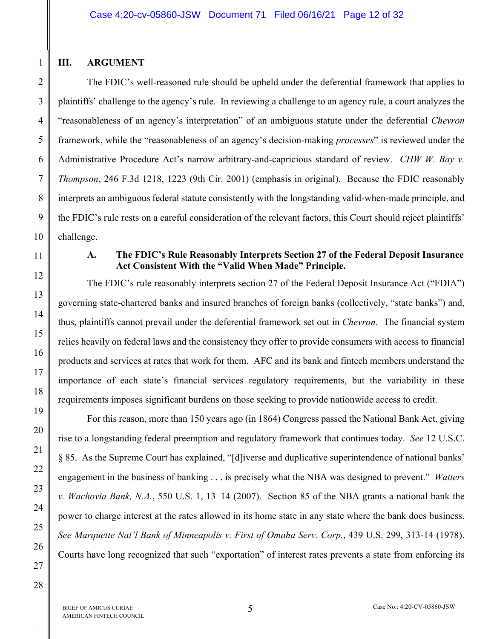## **III. ARGUMENT**

1

The FDIC's well-reasoned rule should be upheld under the deferential framework that applies to plaintiffs' challenge to the agency's rule. In reviewing a challenge to an agency rule, a court analyzes the "reasonableness of an agency's interpretation" of an ambiguous statute under the deferential *Chevron* framework, while the "reasonableness of an agency's decision-making *processes*" is reviewed under the Administrative Procedure Act's narrow arbitrary-and-capricious standard of review. *CHW W. Bay v. Thompson*, 246 F.3d 1218, 1223 (9th Cir. 2001) (emphasis in original). Because the FDIC reasonably interprets an ambiguous federal statute consistently with the longstanding valid-when-made principle, and the FDIC's rule rests on a careful consideration of the relevant factors, this Court should reject plaintiffs' challenge.

## **A. The FDIC's Rule Reasonably Interprets Section 27 of the Federal Deposit Insurance Act Consistent With the "Valid When Made" Principle.**

The FDIC's rule reasonably interprets section 27 of the Federal Deposit Insurance Act ("FDIA") governing state-chartered banks and insured branches of foreign banks (collectively, "state banks") and, thus, plaintiffs cannot prevail under the deferential framework set out in *Chevron*. The financial system relies heavily on federal laws and the consistency they offer to provide consumers with access to financial products and services at rates that work for them. AFC and its bank and fintech members understand the importance of each state's financial services regulatory requirements, but the variability in these requirements imposes significant burdens on those seeking to provide nationwide access to credit.

For this reason, more than 150 years ago (in 1864) Congress passed the National Bank Act, giving rise to a longstanding federal preemption and regulatory framework that continues today. *See* 12 U.S.C. § 85. As the Supreme Court has explained, "[d]iverse and duplicative superintendence of national banks' engagement in the business of banking . . . is precisely what the NBA was designed to prevent." *Watters v. Wachovia Bank, N.A.*, 550 U.S. 1, 13–14 (2007). Section 85 of the NBA grants a national bank the power to charge interest at the rates allowed in its home state in any state where the bank does business. *See Marquette Nat'l Bank of Minneapolis v. First of Omaha Serv. Corp.*, 439 U.S. 299, 313-14 (1978). Courts have long recognized that such "exportation" of interest rates prevents a state from enforcing its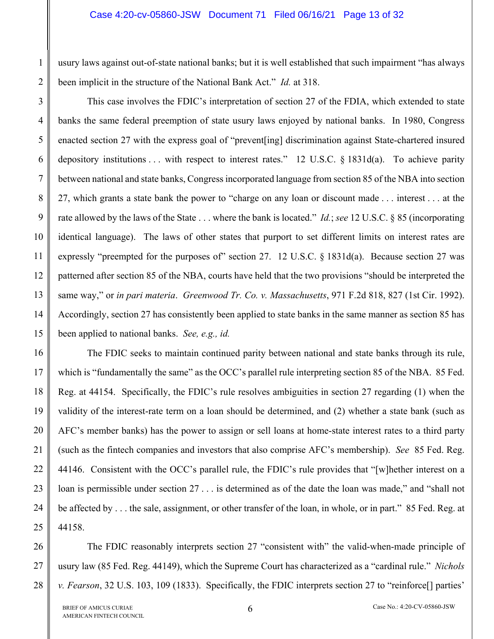usury laws against out-of-state national banks; but it is well established that such impairment "has always been implicit in the structure of the National Bank Act." *Id.* at 318.

3 4 5 6 7 8 9 10 11 12 13 14 15 This case involves the FDIC's interpretation of section 27 of the FDIA, which extended to state banks the same federal preemption of state usury laws enjoyed by national banks. In 1980, Congress enacted section 27 with the express goal of "prevent[ing] discrimination against State-chartered insured depository institutions . . . with respect to interest rates." 12 U.S.C. § 1831d(a). To achieve parity between national and state banks, Congress incorporated language from section 85 of the NBA into section 27, which grants a state bank the power to "charge on any loan or discount made . . . interest . . . at the rate allowed by the laws of the State . . . where the bank is located." *Id.*; *see* 12 U.S.C. § 85 (incorporating identical language). The laws of other states that purport to set different limits on interest rates are expressly "preempted for the purposes of" section 27. 12 U.S.C. § 1831d(a). Because section 27 was patterned after section 85 of the NBA, courts have held that the two provisions "should be interpreted the same way," or *in pari materia*. *Greenwood Tr. Co. v. Massachusetts*, 971 F.2d 818, 827 (1st Cir. 1992). Accordingly, section 27 has consistently been applied to state banks in the same manner as section 85 has been applied to national banks. *See, e.g., id.*

16 17 18 19 20 21 22 23 24 25 The FDIC seeks to maintain continued parity between national and state banks through its rule, which is "fundamentally the same" as the OCC's parallel rule interpreting section 85 of the NBA. 85 Fed. Reg. at 44154. Specifically, the FDIC's rule resolves ambiguities in section 27 regarding (1) when the validity of the interest-rate term on a loan should be determined, and (2) whether a state bank (such as AFC's member banks) has the power to assign or sell loans at home-state interest rates to a third party (such as the fintech companies and investors that also comprise AFC's membership). *See* 85 Fed. Reg. 44146. Consistent with the OCC's parallel rule, the FDIC's rule provides that "[w]hether interest on a loan is permissible under section 27 . . . is determined as of the date the loan was made," and "shall not be affected by . . . the sale, assignment, or other transfer of the loan, in whole, or in part." 85 Fed. Reg. at 44158.

26 27 28 The FDIC reasonably interprets section 27 "consistent with" the valid-when-made principle of usury law (85 Fed. Reg. 44149), which the Supreme Court has characterized as a "cardinal rule." *Nichols v. Fearson*, 32 U.S. 103, 109 (1833). Specifically, the FDIC interprets section 27 to "reinforce[] parties'

1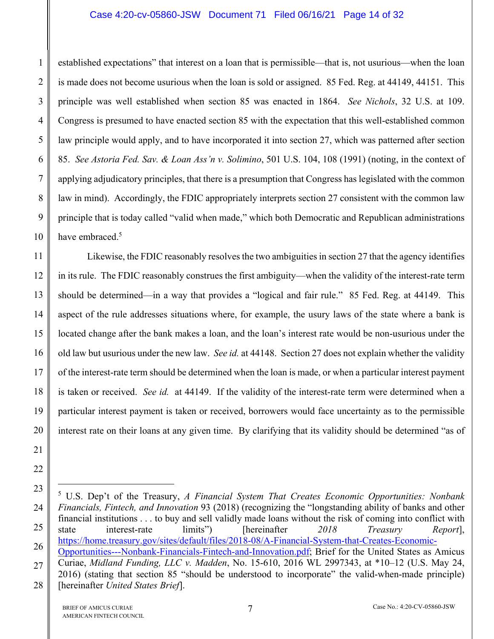#### Case 4:20-cv-05860-JSW Document 71 Filed 06/16/21 Page 14 of 32

established expectations" that interest on a loan that is permissible—that is, not usurious—when the loan is made does not become usurious when the loan is sold or assigned. 85 Fed. Reg. at 44149, 44151. This principle was well established when section 85 was enacted in 1864. *See Nichols*, 32 U.S. at 109. Congress is presumed to have enacted section 85 with the expectation that this well-established common law principle would apply, and to have incorporated it into section 27, which was patterned after section 85. *See Astoria Fed. Sav. & Loan Ass'n v. Solimino*, 501 U.S. 104, 108 (1991) (noting, in the context of applying adjudicatory principles, that there is a presumption that Congress has legislated with the common law in mind). Accordingly, the FDIC appropriately interprets section 27 consistent with the common law principle that is today called "valid when made," which both Democratic and Republican administrations have embraced.<sup>5</sup>

11 12 13 14 15 16 17 18 19 20 Likewise, the FDIC reasonably resolves the two ambiguities in section 27 that the agency identifies in its rule. The FDIC reasonably construes the first ambiguity—when the validity of the interest-rate term should be determined—in a way that provides a "logical and fair rule." 85 Fed. Reg. at 44149. This aspect of the rule addresses situations where, for example, the usury laws of the state where a bank is located change after the bank makes a loan, and the loan's interest rate would be non-usurious under the old law but usurious under the new law. *See id.* at 44148. Section 27 does not explain whether the validity of the interest-rate term should be determined when the loan is made, or when a particular interest payment is taken or received. *See id.* at 44149. If the validity of the interest-rate term were determined when a particular interest payment is taken or received, borrowers would face uncertainty as to the permissible interest rate on their loans at any given time. By clarifying that its validity should be determined "as of

1

2

3

4

5

6

7

8

9

10

21

22

 $\overline{a}$ 

<sup>23</sup>  24 25 26 27 28 5 U.S. Dep't of the Treasury, *A Financial System That Creates Economic Opportunities: Nonbank Financials, Fintech, and Innovation* 93 (2018) (recognizing the "longstanding ability of banks and other financial institutions . . . to buy and sell validly made loans without the risk of coming into conflict with state interest-rate limits") [hereinafter *2018 Treasury Report*], [https://home.treasury.gov/sites/default/files/2018-08/A-Financial-System-that-Creates-Economic-](https://home.treasury.gov/sites/default/files/2018-08/A-Financial-System-that-Creates-Economic-Opportunities---Nonbank-Financials-Fintech-and-Innovation.pdf)[Opportunities---Nonbank-Financials-Fintech-and-Innovation.pdf; Br](https://home.treasury.gov/sites/default/files/2018-08/A-Financial-System-that-Creates-Economic-Opportunities---Nonbank-Financials-Fintech-and-Innovation.pdf)ief for the United States as Amicus Curiae, *Midland Funding, LLC v. Madden*, No. 15-610, 2016 WL 2997343, at \*10–12 (U.S. May 24, 2016) (stating that section 85 "should be understood to incorporate" the valid-when-made principle) [hereinafter *United States Brief*].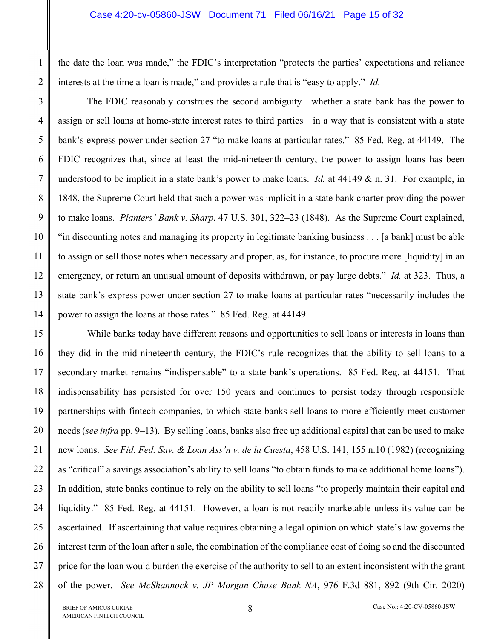the date the loan was made," the FDIC's interpretation "protects the parties' expectations and reliance interests at the time a loan is made," and provides a rule that is "easy to apply." *Id.*

The FDIC reasonably construes the second ambiguity—whether a state bank has the power to assign or sell loans at home-state interest rates to third parties—in a way that is consistent with a state bank's express power under section 27 "to make loans at particular rates." 85 Fed. Reg. at 44149. The FDIC recognizes that, since at least the mid-nineteenth century, the power to assign loans has been understood to be implicit in a state bank's power to make loans. *Id.* at  $44149 \& n$ . 31. For example, in 1848, the Supreme Court held that such a power was implicit in a state bank charter providing the power to make loans. *Planters' Bank v. Sharp*, 47 U.S. 301, 322–23 (1848). As the Supreme Court explained, "in discounting notes and managing its property in legitimate banking business . . . [a bank] must be able to assign or sell those notes when necessary and proper, as, for instance, to procure more [liquidity] in an emergency, or return an unusual amount of deposits withdrawn, or pay large debts." *Id.* at 323. Thus, a state bank's express power under section 27 to make loans at particular rates "necessarily includes the power to assign the loans at those rates." 85 Fed. Reg. at 44149.

28 While banks today have different reasons and opportunities to sell loans or interests in loans than they did in the mid-nineteenth century, the FDIC's rule recognizes that the ability to sell loans to a secondary market remains "indispensable" to a state bank's operations. 85 Fed. Reg. at 44151. That indispensability has persisted for over 150 years and continues to persist today through responsible partnerships with fintech companies, to which state banks sell loans to more efficiently meet customer needs (*see infra* pp. 9–13). By selling loans, banks also free up additional capital that can be used to make new loans. *See Fid. Fed. Sav. & Loan Ass'n v. de la Cuesta*, 458 U.S. 141, 155 n.10 (1982) (recognizing as "critical" a savings association's ability to sell loans "to obtain funds to make additional home loans"). In addition, state banks continue to rely on the ability to sell loans "to properly maintain their capital and liquidity." 85 Fed. Reg. at 44151. However, a loan is not readily marketable unless its value can be ascertained. If ascertaining that value requires obtaining a legal opinion on which state's law governs the interest term of the loan after a sale, the combination of the compliance cost of doing so and the discounted price for the loan would burden the exercise of the authority to sell to an extent inconsistent with the grant of the power. *See McShannock v. JP Morgan Chase Bank NA*, 976 F.3d 881, 892 (9th Cir. 2020)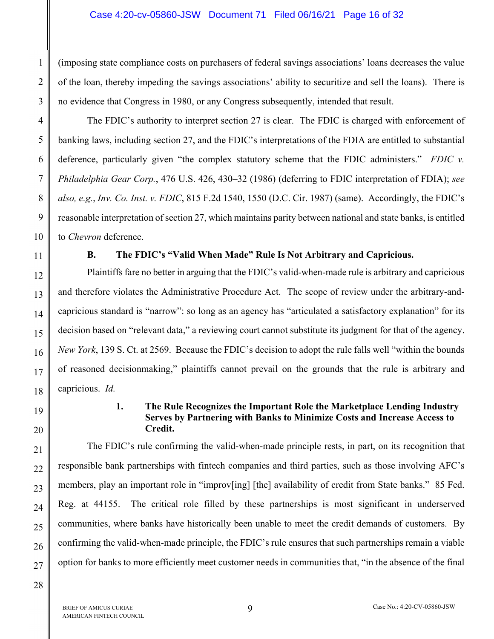#### Case 4:20-cv-05860-JSW Document 71 Filed 06/16/21 Page 16 of 32

(imposing state compliance costs on purchasers of federal savings associations' loans decreases the value of the loan, thereby impeding the savings associations' ability to securitize and sell the loans). There is no evidence that Congress in 1980, or any Congress subsequently, intended that result.

The FDIC's authority to interpret section 27 is clear. The FDIC is charged with enforcement of banking laws, including section 27, and the FDIC's interpretations of the FDIA are entitled to substantial deference, particularly given "the complex statutory scheme that the FDIC administers." *FDIC v. Philadelphia Gear Corp.*, 476 U.S. 426, 430–32 (1986) (deferring to FDIC interpretation of FDIA); *see also, e.g.*, *Inv. Co. Inst. v. FDIC*, 815 F.2d 1540, 1550 (D.C. Cir. 1987) (same). Accordingly, the FDIC's reasonable interpretation of section 27, which maintains parity between national and state banks, is entitled to *Chevron* deference.

1

 $\mathfrak{D}$ 

3

4

5

6

7

8

9

10

11

12

13

14

15

16

17

18

19

20

21

22

23

24

25

26

## **B. The FDIC's "Valid When Made" Rule Is Not Arbitrary and Capricious.**

Plaintiffs fare no better in arguing that the FDIC's valid-when-made rule is arbitrary and capricious and therefore violates the Administrative Procedure Act. The scope of review under the arbitrary-andcapricious standard is "narrow": so long as an agency has "articulated a satisfactory explanation" for its decision based on "relevant data," a reviewing court cannot substitute its judgment for that of the agency. *New York*, 139 S. Ct. at 2569. Because the FDIC's decision to adopt the rule falls well "within the bounds of reasoned decisionmaking," plaintiffs cannot prevail on the grounds that the rule is arbitrary and capricious. *Id.*

### **1. The Rule Recognizes the Important Role the Marketplace Lending Industry Serves by Partnering with Banks to Minimize Costs and Increase Access to Credit.**

The FDIC's rule confirming the valid-when-made principle rests, in part, on its recognition that responsible bank partnerships with fintech companies and third parties, such as those involving AFC's members, play an important role in "improv[ing] [the] availability of credit from State banks." 85 Fed. Reg. at 44155. The critical role filled by these partnerships is most significant in underserved communities, where banks have historically been unable to meet the credit demands of customers. By confirming the valid-when-made principle, the FDIC's rule ensures that such partnerships remain a viable option for banks to more efficiently meet customer needs in communities that, "in the absence of the final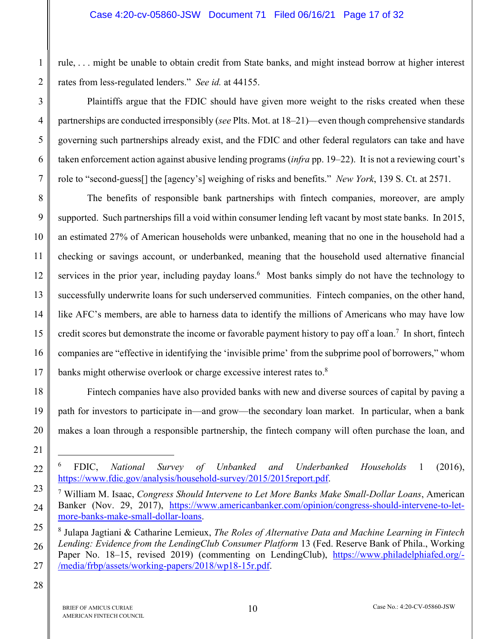rule, . . . might be unable to obtain credit from State banks, and might instead borrow at higher interest rates from less-regulated lenders." *See id.* at 44155.

Plaintiffs argue that the FDIC should have given more weight to the risks created when these partnerships are conducted irresponsibly (*see* Plts. Mot. at 18–21)—even though comprehensive standards governing such partnerships already exist, and the FDIC and other federal regulators can take and have taken enforcement action against abusive lending programs (*infra* pp. 19–22). It is not a reviewing court's role to "second-guess[] the [agency's] weighing of risks and benefits." *New York*, 139 S. Ct. at 2571.

8 9 10 11 The benefits of responsible bank partnerships with fintech companies, moreover, are amply supported. Such partnerships fill a void within consumer lending left vacant by most state banks. In 2015, an estimated 27% of American households were unbanked, meaning that no one in the household had a checking or savings account, or underbanked, meaning that the household used alternative financial services in the prior year, including payday loans.<sup>6</sup> Most banks simply do not have the technology to successfully underwrite loans for such underserved communities. Fintech companies, on the other hand, like AFC's members, are able to harness data to identify the millions of Americans who may have low credit scores but demonstrate the income or favorable payment history to pay off a loan.<sup>7</sup> In short, fintech companies are "effective in identifying the 'invisible prime' from the subprime pool of borrowers," whom banks might otherwise overlook or charge excessive interest rates to.<sup>8</sup>

Fintech companies have also provided banks with new and diverse sources of capital by paving a path for investors to participate in—and grow—the secondary loan market. In particular, when a bank makes a loan through a responsible partnership, the fintech company will often purchase the loan, and

<u>.</u>

1

2

3

4

5

6

<sup>6</sup> FDIC, *National Survey of Unbanked and Underbanked Households* 1 (2016), [https://www.fdic.gov/analysis/household-survey/2015/2015report.pdf.](https://www.fdic.gov/analysis/household-survey/2015/2015report.pdf) 

<sup>7</sup> William M. Isaac, *Congress Should Intervene to Let More Banks Make Small-Dollar Loans*, American [Banker \(Nov. 29, 2017\), https://www.americanbanker.com/opinion/congress-should-intervene-to-let](https://www.americanbanker.com/opinion/congress-should-intervene-to-let-more-banks-make-small-dollar-loans)more-[banks-make-small-dollar-loans.](https://www.americanbanker.com/opinion/congress-should-intervene-to-let-more-banks-make-small-dollar-loans) 

<sup>8</sup> Julapa Jagtiani & Catharine Lemieux, *The Roles of Alternative Data and Machine Learning in Fintech Lending: Evidence from the LendingClub Consumer Platform* 13 (Fed. Reserve Bank of Phila., Working Paper No. 18–15, revised 2019) (commenting on LendingClub), [https://www.philadelphiafed.org/-](https://www.philadelphiafed.org/-/media/frbp/assets/working-papers/2018/wp18-15r.pdf) [/media/frbp/assets/working-papers/2018/wp18-15r.pdf.](https://www.philadelphiafed.org/-/media/frbp/assets/working-papers/2018/wp18-15r.pdf)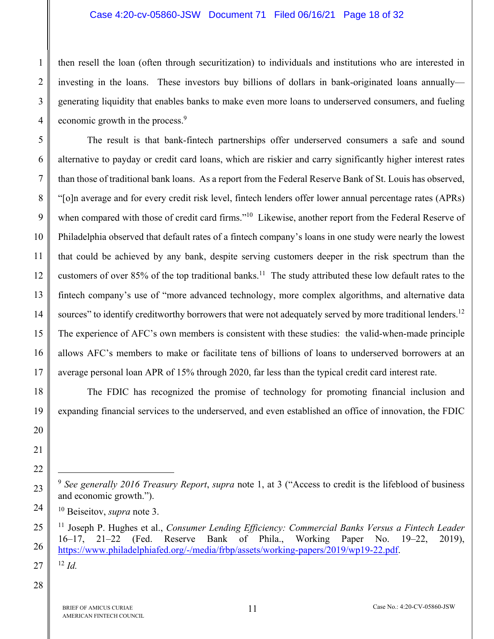#### Case 4:20-cv-05860-JSW Document 71 Filed 06/16/21 Page 18 of 32

then resell the loan (often through securitization) to individuals and institutions who are interested in investing in the loans. These investors buy billions of dollars in bank-originated loans annually generating liquidity that enables banks to make even more loans to underserved consumers, and fueling economic growth in the process.<sup>9</sup>

5 6 7 8 9 10 12 13 14 15 16 17 The result is that bank-fintech partnerships offer underserved consumers a safe and sound alternative to payday or credit card loans, which are riskier and carry significantly higher interest rates than those of traditional bank loans. As a report from the Federal Reserve Bank of St. Louis has observed, "[o]n average and for every credit risk level, fintech lenders offer lower annual percentage rates (APRs) when compared with those of credit card firms."<sup>10</sup> Likewise, another report from the Federal Reserve of Philadelphia observed that default rates of a fintech company's loans in one study were nearly the lowest that could be achieved by any bank, despite serving customers deeper in the risk spectrum than the customers of over 85% of the top traditional banks.<sup>11</sup> The study attributed these low default rates to the fintech company's use of "more advanced technology, more complex algorithms, and alternative data sources" to identify creditworthy borrowers that were not adequately served by more traditional lenders.<sup>12</sup> The experience of AFC's own members is consistent with these studies: the valid-when-made principle allows AFC's members to make or facilitate tens of billions of loans to underserved borrowers at an average personal loan APR of 15% through 2020, far less than the typical credit card interest rate.

The FDIC has recognized the promise of technology for promoting financial inclusion and expanding financial services to the underserved, and even established an office of innovation, the FDIC

27

1

2

3

4

11

18

19

20

21

22

1

23

24

25

26

<sup>9</sup> *See generally 2016 Treasury Report*, *supra* note 1, at 3 ("Access to credit is the lifeblood of business and economic growth.").

<sup>10</sup> Beiseitov, *supra* note 3.

<sup>11</sup> Joseph P. Hughes et al., *Consumer Lending Efficiency: Commercial Banks Versus a Fintech Leader* 16–17, 21–22 (Fed. Reserve Bank of Phila., Working Paper No. 19–22, 2019), [https://www.philadelphiafed.org/-/media/frbp/assets/working-papers/2019/wp19-22.pdf.](https://www.philadelphiafed.org/-/media/frbp/assets/working-papers/2019/wp19-22.pdf)   $^{12}$  *Id.*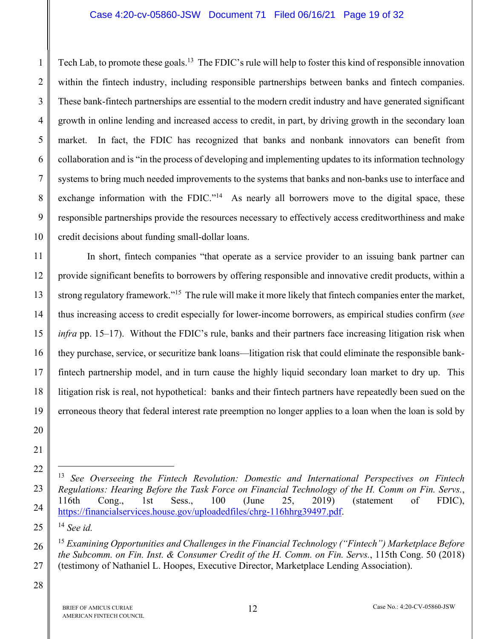#### Case 4:20-cv-05860-JSW Document 71 Filed 06/16/21 Page 19 of 32

Tech Lab, to promote these goals.<sup>13</sup> The FDIC's rule will help to foster this kind of responsible innovation within the fintech industry, including responsible partnerships between banks and fintech companies. These bank-fintech partnerships are essential to the modern credit industry and have generated significant growth in online lending and increased access to credit, in part, by driving growth in the secondary loan market. In fact, the FDIC has recognized that banks and nonbank innovators can benefit from collaboration and is "in the process of developing and implementing updates to its information technology systems to bring much needed improvements to the systems that banks and non-banks use to interface and exchange information with the FDIC."<sup>14</sup> As nearly all borrowers move to the digital space, these responsible partnerships provide the resources necessary to effectively access creditworthiness and make credit decisions about funding small-dollar loans.

11 12 13 14 15 16 17 18 In short, fintech companies "that operate as a service provider to an issuing bank partner can provide significant benefits to borrowers by offering responsible and innovative credit products, within a strong regulatory framework."15 The rule will make it more likely that fintech companies enter the market, thus increasing access to credit especially for lower-income borrowers, as empirical studies confirm (*see infra* pp. 15–17). Without the FDIC's rule, banks and their partners face increasing litigation risk when they purchase, service, or securitize bank loans—litigation risk that could eliminate the responsible bankfintech partnership model, and in turn cause the highly liquid secondary loan market to dry up. This litigation risk is real, not hypothetical: banks and their fintech partners have repeatedly been sued on the erroneous theory that federal interest rate preemption no longer applies to a loan when the loan is sold by

<u>.</u>

1

2

3

4

5

6

7

8

9

10

25

26

<sup>13</sup> *See Overseeing the Fintech Revolution: Domestic and International Perspectives on Fintech Regulations: Hearing Before the Task Force on Financial Technology of the H. Comm on Fin. Servs.*, 116th Cong., 1st Sess., 100 (June 25, 2019) (statement of FDIC), [https://financialservices.house.gov/uploadedfiles/chrg-116hhrg39497.pdf.](https://financialservices.house.gov/uploadedfiles/chrg-116hhrg39497.pdf) 

<sup>14</sup> *See id.*

<sup>15</sup> *Examining Opportunities and Challenges in the Financial Technology ("Fintech") Marketplace Before the Subcomm. on Fin. Inst. & Consumer Credit of the H. Comm. on Fin. Servs.*, 115th Cong. 50 (2018) (testimony of Nathaniel L. Hoopes, Executive Director, Marketplace Lending Association).

<sup>28</sup>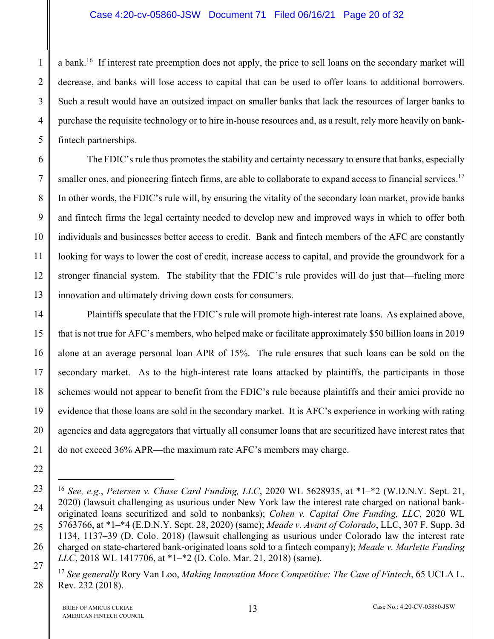#### Case 4:20-cv-05860-JSW Document 71 Filed 06/16/21 Page 20 of 32

a bank.<sup>16</sup> If interest rate preemption does not apply, the price to sell loans on the secondary market will decrease, and banks will lose access to capital that can be used to offer loans to additional borrowers. Such a result would have an outsized impact on smaller banks that lack the resources of larger banks to purchase the requisite technology or to hire in-house resources and, as a result, rely more heavily on bankfintech partnerships.

6 7 8 9 10 11 12 13 The FDIC's rule thus promotes the stability and certainty necessary to ensure that banks, especially smaller ones, and pioneering fintech firms, are able to collaborate to expand access to financial services.<sup>17</sup> In other words, the FDIC's rule will, by ensuring the vitality of the secondary loan market, provide banks and fintech firms the legal certainty needed to develop new and improved ways in which to offer both individuals and businesses better access to credit. Bank and fintech members of the AFC are constantly looking for ways to lower the cost of credit, increase access to capital, and provide the groundwork for a stronger financial system. The stability that the FDIC's rule provides will do just that—fueling more innovation and ultimately driving down costs for consumers.

14 15 16 17 18 19 20 21 Plaintiffs speculate that the FDIC's rule will promote high-interest rate loans. As explained above, that is not true for AFC's members, who helped make or facilitate approximately \$50 billion loans in 2019 alone at an average personal loan APR of 15%. The rule ensures that such loans can be sold on the secondary market. As to the high-interest rate loans attacked by plaintiffs, the participants in those schemes would not appear to benefit from the FDIC's rule because plaintiffs and their amici provide no evidence that those loans are sold in the secondary market. It is AFC's experience in working with rating agencies and data aggregators that virtually all consumer loans that are securitized have interest rates that do not exceed 36% APR—the maximum rate AFC's members may charge.

1

2

3

4

5

22

23

<u>.</u>

24

25

26

27

<sup>16</sup> *See, e.g.*, *Petersen v. Chase Card Funding, LLC*, 2020 WL 5628935, at \*1–\*2 (W.D.N.Y. Sept. 21, 2020) (lawsuit challenging as usurious under New York law the interest rate charged on national bankoriginated loans securitized and sold to nonbanks); *Cohen v. Capital One Funding, LLC*, 2020 WL 5763766, at \*1–\*4 (E.D.N.Y. Sept. 28, 2020) (same); *Meade v. Avant of Colorado*, LLC, 307 F. Supp. 3d 1134, 1137–39 (D. Colo. 2018) (lawsuit challenging as usurious under Colorado law the interest rate charged on state-chartered bank-originated loans sold to a fintech company); *Meade v. Marlette Funding LLC*, 2018 WL 1417706, at \*1–\*2 (D. Colo. Mar. 21, 2018) (same).

<sup>17</sup> *See generally* Rory Van Loo, *Making Innovation More Competitive: The Case of Fintech*, 65 UCLA L. Rev. 232 (2018).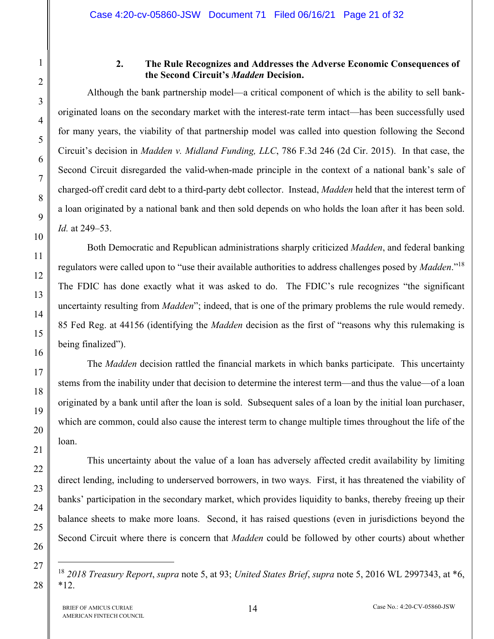## **2. The Rule Recognizes and Addresses the Adverse Economic Consequences of the Second Circuit's** *Madden* **Decision.**

Although the bank partnership model—a critical component of which is the ability to sell bankoriginated loans on the secondary market with the interest-rate term intact—has been successfully used for many years, the viability of that partnership model was called into question following the Second Circuit's decision in *Madden v. Midland Funding, LLC*, 786 F.3d 246 (2d Cir. 2015). In that case, the Second Circuit disregarded the valid-when-made principle in the context of a national bank's sale of charged-off credit card debt to a third-party debt collector. Instead, *Madden* held that the interest term of a loan originated by a national bank and then sold depends on who holds the loan after it has been sold. *Id.* at 249–53.

Both Democratic and Republican administrations sharply criticized *Madden*, and federal banking regulators were called upon to "use their available authorities to address challenges posed by *Madden*."18 The FDIC has done exactly what it was asked to do. The FDIC's rule recognizes "the significant uncertainty resulting from *Madden*"; indeed, that is one of the primary problems the rule would remedy. 85 Fed Reg. at 44156 (identifying the *Madden* decision as the first of "reasons why this rulemaking is being finalized").

The *Madden* decision rattled the financial markets in which banks participate. This uncertainty stems from the inability under that decision to determine the interest term—and thus the value—of a loan originated by a bank until after the loan is sold. Subsequent sales of a loan by the initial loan purchaser, which are common, could also cause the interest term to change multiple times throughout the life of the loan.

This uncertainty about the value of a loan has adversely affected credit availability by limiting direct lending, including to underserved borrowers, in two ways. First, it has threatened the viability of banks' participation in the secondary market, which provides liquidity to banks, thereby freeing up their balance sheets to make more loans. Second, it has raised questions (even in jurisdictions beyond the Second Circuit where there is concern that *Madden* could be followed by other courts) about whether

<sup>18</sup> *2018 Treasury Report*, *supra* note 5, at 93; *United States Brief*, *supra* note 5, 2016 WL 2997343, at \*6, \*12.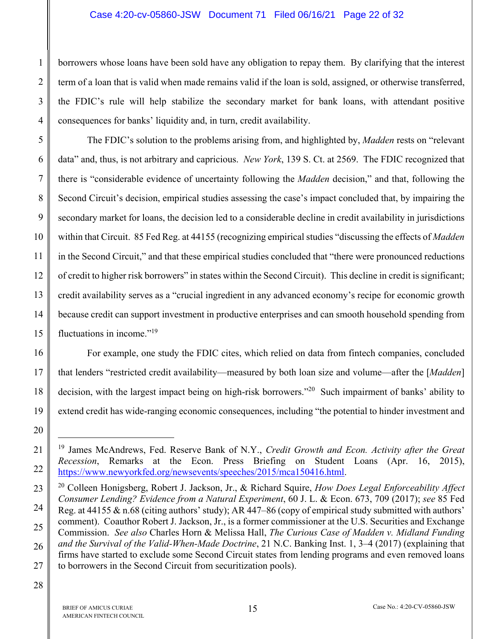#### Case 4:20-cv-05860-JSW Document 71 Filed 06/16/21 Page 22 of 32

borrowers whose loans have been sold have any obligation to repay them. By clarifying that the interest term of a loan that is valid when made remains valid if the loan is sold, assigned, or otherwise transferred, the FDIC's rule will help stabilize the secondary market for bank loans, with attendant positive consequences for banks' liquidity and, in turn, credit availability.

6 The FDIC's solution to the problems arising from, and highlighted by, *Madden* rests on "relevant data" and, thus, is not arbitrary and capricious. *New York*, 139 S. Ct. at 2569. The FDIC recognized that there is "considerable evidence of uncertainty following the *Madden* decision," and that, following the Second Circuit's decision, empirical studies assessing the case's impact concluded that, by impairing the secondary market for loans, the decision led to a considerable decline in credit availability in jurisdictions within that Circuit. 85 Fed Reg. at 44155 (recognizing empirical studies "discussing the effects of *Madden* in the Second Circuit," and that these empirical studies concluded that "there were pronounced reductions of credit to higher risk borrowers" in states within the Second Circuit). This decline in credit is significant; credit availability serves as a "crucial ingredient in any advanced economy's recipe for economic growth because credit can support investment in productive enterprises and can smooth household spending from fluctuations in income."<sup>19</sup>

For example, one study the FDIC cites, which relied on data from fintech companies, concluded that lenders "restricted credit availability—measured by both loan size and volume—after the [*Madden*] decision, with the largest impact being on high-risk borrowers."20 Such impairment of banks' ability to extend credit has wide-ranging economic consequences, including "the potential to hinder investment and

1

1

2

3

4

5

<sup>19</sup> James McAndrews, Fed. Reserve Bank of N.Y., *Credit Growth and Econ. Activity after the Great Recession*, Remarks at the Econ. Press Briefing on Student Loans (Apr. 16, 2015), [https://www.newyorkfed.org/newsevents/speeches/2015/mca150416.html.](https://www.newyorkfed.org/newsevents/speeches/2015/mca150416.html) 

<sup>20</sup> Colleen Honigsberg, Robert J. Jackson, Jr., & Richard Squire, *How Does Legal Enforceability Affect Consumer Lending? Evidence from a Natural Experiment*, 60 J. L. & Econ. 673, 709 (2017); *see* 85 Fed Reg. at 44155 & n.68 (citing authors' study); AR 447–86 (copy of empirical study submitted with authors' comment). Coauthor Robert J. Jackson, Jr., is a former commissioner at the U.S. Securities and Exchange Commission. *See also* Charles Horn & Melissa Hall, *The Curious Case of Madden v. Midland Funding and the Survival of the Valid-When-Made Doctrine*, 21 N.C. Banking Inst. 1, 3–4 (2017) (explaining that firms have started to exclude some Second Circuit states from lending programs and even removed loans to borrowers in the Second Circuit from securitization pools).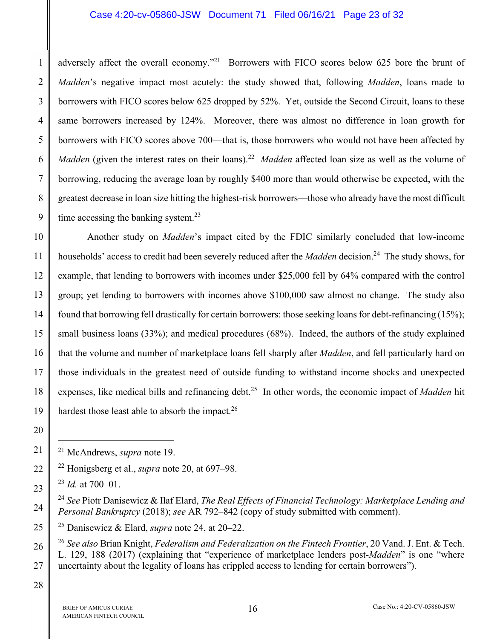#### Case 4:20-cv-05860-JSW Document 71 Filed 06/16/21 Page 23 of 32

adversely affect the overall economy."<sup>21</sup> Borrowers with FICO scores below 625 bore the brunt of *Madden*'s negative impact most acutely: the study showed that, following *Madden*, loans made to borrowers with FICO scores below 625 dropped by 52%. Yet, outside the Second Circuit, loans to these same borrowers increased by 124%. Moreover, there was almost no difference in loan growth for borrowers with FICO scores above 700—that is, those borrowers who would not have been affected by *Madden* (given the interest rates on their loans).<sup>22</sup> *Madden* affected loan size as well as the volume of borrowing, reducing the average loan by roughly \$400 more than would otherwise be expected, with the greatest decrease in loan size hitting the highest-risk borrowers—those who already have the most difficult time accessing the banking system.<sup>23</sup>

10 11 12 13 14 15 16 17 18 19 Another study on *Madden*'s impact cited by the FDIC similarly concluded that low-income households' access to credit had been severely reduced after the *Madden* decision.<sup>24</sup> The study shows, for example, that lending to borrowers with incomes under \$25,000 fell by 64% compared with the control group; yet lending to borrowers with incomes above \$100,000 saw almost no change. The study also found that borrowing fell drastically for certain borrowers: those seeking loans for debt-refinancing (15%); small business loans (33%); and medical procedures (68%). Indeed, the authors of the study explained that the volume and number of marketplace loans fell sharply after *Madden*, and fell particularly hard on those individuals in the greatest need of outside funding to withstand income shocks and unexpected expenses, like medical bills and refinancing debt.25 In other words, the economic impact of *Madden* hit hardest those least able to absorb the impact.<sup>26</sup>

20 21 22

<u>.</u>

23

24

25

26

27

1

2

3

4

5

6

7

8

9

<sup>24</sup> *See* Piotr Danisewicz & Ilaf Elard, *The Real Effects of Financial Technology: Marketplace Lending and Personal Bankruptcy* (2018); *see* AR 792–842 (copy of study submitted with comment).

25 Danisewicz & Elard, *supra* note 24, at 20–22.

<sup>26</sup> *See also* Brian Knight, *Federalism and Federalization on the Fintech Frontier*, 20 Vand. J. Ent. & Tech. L. 129, 188 (2017) (explaining that "experience of marketplace lenders post-*Madden*" is one "where uncertainty about the legality of loans has crippled access to lending for certain borrowers").

<sup>21</sup> McAndrews, *supra* note 19.

<sup>22</sup> Honigsberg et al., *supra* note 20, at 697–98.

<sup>23</sup> *Id.* at 700–01.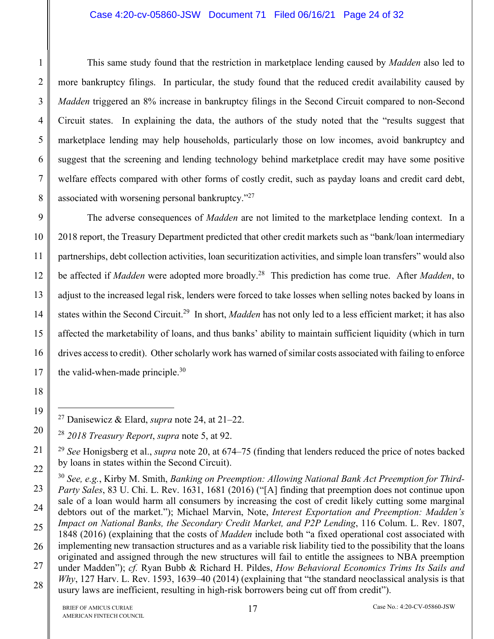### Case 4:20-cv-05860-JSW Document 71 Filed 06/16/21 Page 24 of 32

This same study found that the restriction in marketplace lending caused by *Madden* also led to more bankruptcy filings. In particular, the study found that the reduced credit availability caused by *Madden* triggered an 8% increase in bankruptcy filings in the Second Circuit compared to non-Second Circuit states. In explaining the data, the authors of the study noted that the "results suggest that marketplace lending may help households, particularly those on low incomes, avoid bankruptcy and suggest that the screening and lending technology behind marketplace credit may have some positive welfare effects compared with other forms of costly credit, such as payday loans and credit card debt, associated with worsening personal bankruptcy."27

9 10 12 13 14 15 16 17 The adverse consequences of *Madden* are not limited to the marketplace lending context. In a 2018 report, the Treasury Department predicted that other credit markets such as "bank/loan intermediary partnerships, debt collection activities, loan securitization activities, and simple loan transfers" would also be affected if *Madden* were adopted more broadly.28 This prediction has come true. After *Madden*, to adjust to the increased legal risk, lenders were forced to take losses when selling notes backed by loans in states within the Second Circuit.29 In short, *Madden* has not only led to a less efficient market; it has also affected the marketability of loans, and thus banks' ability to maintain sufficient liquidity (which in turn drives access to credit). Other scholarly work has warned of similar costs associated with failing to enforce the valid-when-made principle. $30$ 

1

2

3

4

5

6

7

8

11

18

19

1

21

<sup>27</sup> Danisewicz & Elard, *supra* note 24, at 21–22.

<sup>20</sup>  <sup>28</sup> *2018 Treasury Report*, *supra* note 5, at 92.

<sup>29</sup> *See* Honigsberg et al., *supra* note 20, at 674–75 (finding that lenders reduced the price of notes backed by loans in states within the Second Circuit).

<sup>23</sup>  24 25 26 27 28 <sup>30</sup> *See, e.g.*, Kirby M. Smith, *Banking on Preemption: Allowing National Bank Act Preemption for Third-Party Sales*, 83 U. Chi. L. Rev. 1631, 1681 (2016) ("[A] finding that preemption does not continue upon sale of a loan would harm all consumers by increasing the cost of credit likely cutting some marginal debtors out of the market."); Michael Marvin, Note, *Interest Exportation and Preemption: Madden's Impact on National Banks, the Secondary Credit Market, and P2P Lending*, 116 Colum. L. Rev. 1807, 1848 (2016) (explaining that the costs of *Madden* include both "a fixed operational cost associated with implementing new transaction structures and as a variable risk liability tied to the possibility that the loans originated and assigned through the new structures will fail to entitle the assignees to NBA preemption under Madden"); *cf.* Ryan Bubb & Richard H. Pildes, *How Behavioral Economics Trims Its Sails and Why*, 127 Harv. L. Rev. 1593, 1639–40 (2014) (explaining that "the standard neoclassical analysis is that usury laws are inefficient, resulting in high-risk borrowers being cut off from credit").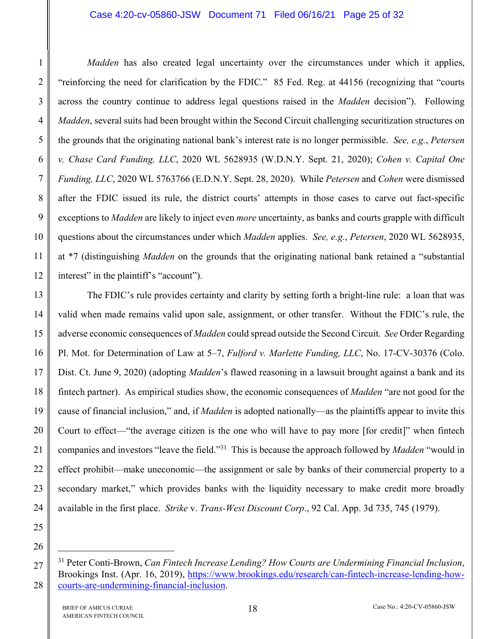#### Case 4:20-cv-05860-JSW Document 71 Filed 06/16/21 Page 25 of 32

*Madden* has also created legal uncertainty over the circumstances under which it applies, "reinforcing the need for clarification by the FDIC." 85 Fed. Reg. at 44156 (recognizing that "courts across the country continue to address legal questions raised in the *Madden* decision"). Following *Madden*, several suits had been brought within the Second Circuit challenging securitization structures on the grounds that the originating national bank's interest rate is no longer permissible. *See, e.g.*, *Petersen v. Chase Card Funding, LLC*, 2020 WL 5628935 (W.D.N.Y. Sept. 21, 2020); *Cohen v. Capital One Funding, LLC*, 2020 WL 5763766 (E.D.N.Y. Sept. 28, 2020). While *Petersen* and *Cohen* were dismissed after the FDIC issued its rule, the district courts' attempts in those cases to carve out fact-specific exceptions to *Madden* are likely to inject even *more* uncertainty, as banks and courts grapple with difficult questions about the circumstances under which *Madden* applies. *See, e.g.*, *Petersen*, 2020 WL 5628935, at \*7 (distinguishing *Madden* on the grounds that the originating national bank retained a "substantial interest" in the plaintiff's "account").

13 14 15 16 17 18 19 20 21 22 23 24 The FDIC's rule provides certainty and clarity by setting forth a bright-line rule: a loan that was valid when made remains valid upon sale, assignment, or other transfer. Without the FDIC's rule, the adverse economic consequences of *Madden* could spread outside the Second Circuit. *See* Order Regarding Pl. Mot. for Determination of Law at 5–7, *Fulford v. Marlette Funding, LLC*, No. 17-CV-30376 (Colo. Dist. Ct. June 9, 2020) (adopting *Madden*'s flawed reasoning in a lawsuit brought against a bank and its fintech partner). As empirical studies show, the economic consequences of *Madden* "are not good for the cause of financial inclusion," and, if *Madden* is adopted nationally—as the plaintiffs appear to invite this Court to effect—"the average citizen is the one who will have to pay more [for credit]" when fintech companies and investors "leave the field."31 This is because the approach followed by *Madden* "would in effect prohibit—make uneconomic—the assignment or sale by banks of their commercial property to a secondary market," which provides banks with the liquidity necessary to make credit more broadly available in the first place. *Strike* v. *Trans-West Discount Corp*., 92 Cal. App. 3d 735, 745 (1979).

25 26

 $\overline{a}$ 

27

28

1

2

3

4

5

6

7

8

9

10

11

<sup>31</sup> Peter Conti-Brown, *Can Fintech Increase Lending? How Courts are Undermining Financial Inclusion*, [Brookings Inst. \(Apr. 16, 2019\), https://www.brookings.edu/research/can-fintech-increase-lending-how](https://www.brookings.edu/research/can-fintech-increase-lending-how-courts-are-undermining-financial-inclusion)courts[-are-undermining-financial-inclusion.](https://www.brookings.edu/research/can-fintech-increase-lending-how-courts-are-undermining-financial-inclusion)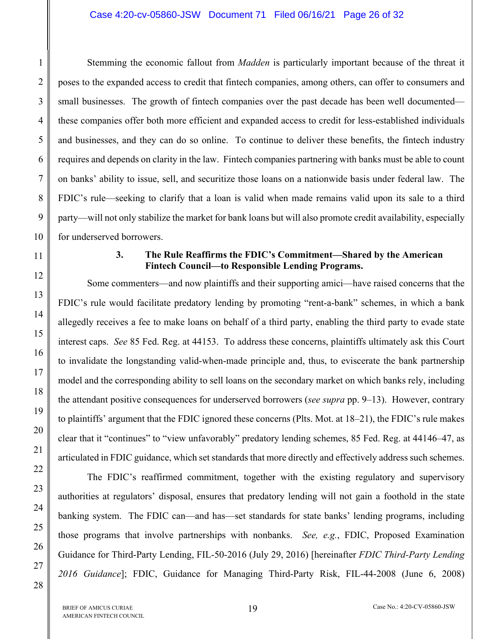#### Case 4:20-cv-05860-JSW Document 71 Filed 06/16/21 Page 26 of 32

Stemming the economic fallout from *Madden* is particularly important because of the threat it poses to the expanded access to credit that fintech companies, among others, can offer to consumers and small businesses. The growth of fintech companies over the past decade has been well documented these companies offer both more efficient and expanded access to credit for less-established individuals and businesses, and they can do so online. To continue to deliver these benefits, the fintech industry requires and depends on clarity in the law. Fintech companies partnering with banks must be able to count on banks' ability to issue, sell, and securitize those loans on a nationwide basis under federal law. The FDIC's rule—seeking to clarify that a loan is valid when made remains valid upon its sale to a third party—will not only stabilize the market for bank loans but will also promote credit availability, especially for underserved borrowers.

## **3. The Rule Reaffirms the FDIC's Commitment—Shared by the American Fintech Council—to Responsible Lending Programs.**

Some commenters—and now plaintiffs and their supporting amici—have raised concerns that the FDIC's rule would facilitate predatory lending by promoting "rent-a-bank" schemes, in which a bank allegedly receives a fee to make loans on behalf of a third party, enabling the third party to evade state interest caps. *See* 85 Fed. Reg. at 44153. To address these concerns, plaintiffs ultimately ask this Court to invalidate the longstanding valid-when-made principle and, thus, to eviscerate the bank partnership model and the corresponding ability to sell loans on the secondary market on which banks rely, including the attendant positive consequences for underserved borrowers (*see supra* pp. 9–13). However, contrary to plaintiffs' argument that the FDIC ignored these concerns (Plts. Mot. at 18–21), the FDIC's rule makes clear that it "continues" to "view unfavorably" predatory lending schemes, 85 Fed. Reg. at 44146–47, as articulated in FDIC guidance, which set standards that more directly and effectively address such schemes.

The FDIC's reaffirmed commitment, together with the existing regulatory and supervisory authorities at regulators' disposal, ensures that predatory lending will not gain a foothold in the state banking system. The FDIC can—and has—set standards for state banks' lending programs, including those programs that involve partnerships with nonbanks. *See, e.g.*, FDIC, Proposed Examination Guidance for Third-Party Lending, FIL-50-2016 (July 29, 2016) [hereinafter *FDIC Third-Party Lending 2016 Guidance*]; FDIC, Guidance for Managing Third-Party Risk, FIL-44-2008 (June 6, 2008)

1

2

3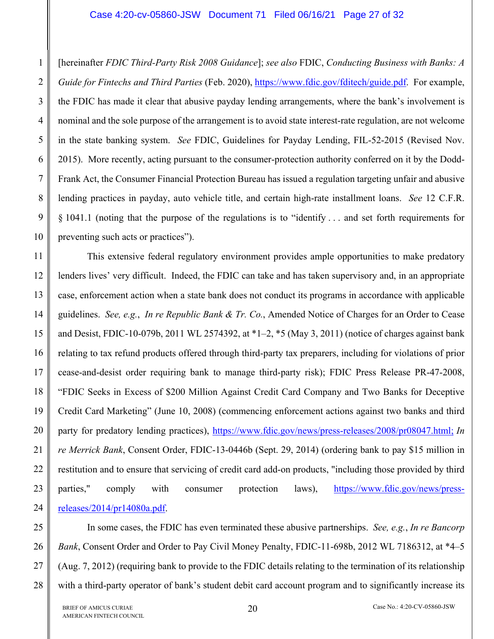#### Case 4:20-cv-05860-JSW Document 71 Filed 06/16/21 Page 27 of 32

[hereinafter *FDIC Third-Party Risk 2008 Guidance*]; *see also* FDIC, *Conducting Business with Banks: A Guide for Fintechs and Third Parties* (Feb. 2020), [https://www.fdic.gov/fditech/guide.pdf. F](https://www.fdic.gov/fditech/guide.pdf)or example, the FDIC has made it clear that abusive payday lending arrangements, where the bank's involvement is nominal and the sole purpose of the arrangement is to avoid state interest-rate regulation, are not welcome in the state banking system. *See* FDIC, Guidelines for Payday Lending, FIL-52-2015 (Revised Nov. 2015). More recently, acting pursuant to the consumer-protection authority conferred on it by the Dodd-Frank Act, the Consumer Financial Protection Bureau has issued a regulation targeting unfair and abusive lending practices in payday, auto vehicle title, and certain high-rate installment loans. *See* 12 C.F.R. § 1041.1 (noting that the purpose of the regulations is to "identify . . . and set forth requirements for preventing such acts or practices").

11 12 13 14 15 16 17 18 19 20 21 22 23 24 This extensive federal regulatory environment provides ample opportunities to make predatory lenders lives' very difficult. Indeed, the FDIC can take and has taken supervisory and, in an appropriate case, enforcement action when a state bank does not conduct its programs in accordance with applicable guidelines. *See, e.g.*, *In re Republic Bank & Tr. Co.*, Amended Notice of Charges for an Order to Cease and Desist, FDIC-10-079b, 2011 WL 2574392, at \*1–2, \*5 (May 3, 2011) (notice of charges against bank relating to tax refund products offered through third-party tax preparers, including for violations of prior cease-and-desist order requiring bank to manage third-party risk); FDIC Press Release PR-47-2008, "FDIC Seeks in Excess of \$200 Million Against Credit Card Company and Two Banks for Deceptive Credit Card Marketing" (June 10, 2008) (commencing enforcement actions against two banks and third party for predatory lending practices), [https://www.fdic.gov/news/press-releases/2008/pr08047.html;](https://www.fdic.gov/news/press-releases/2008/pr08047.html) *In re Merrick Bank*, Consent Order, FDIC-13-0446b (Sept. 29, 2014) (ordering bank to pay \$15 million in restitution and to ensure that servicing of credit card add-on products, "including those provided by third [parties," comply with consumer protection laws\), https://www.fdic.gov/news/press](https://www.fdic.gov/news/press-releases/2014/pr14080a.pdf)releases[/2014/pr14080a.pdf.](https://www.fdic.gov/news/press-releases/2014/pr14080a.pdf) 

25 26 27 28 In some cases, the FDIC has even terminated these abusive partnerships. *See, e.g.*, *In re Bancorp Bank*, Consent Order and Order to Pay Civil Money Penalty, FDIC-11-698b, 2012 WL 7186312, at \*4–5 (Aug. 7, 2012) (requiring bank to provide to the FDIC details relating to the termination of its relationship with a third-party operator of bank's student debit card account program and to significantly increase its

1

 $\mathcal{L}$ 

3

4

5

6

7

8

9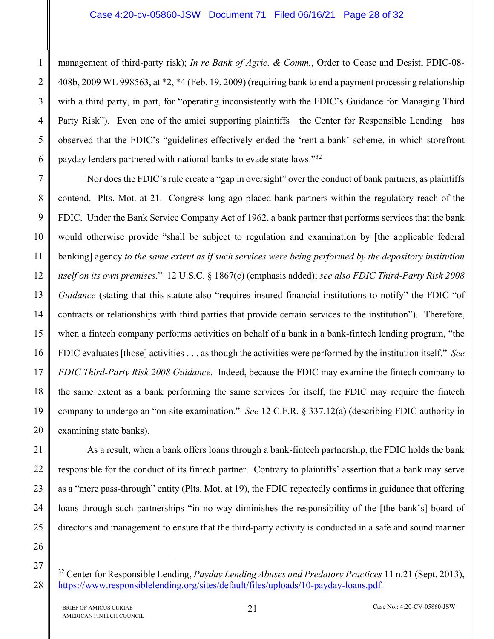management of third-party risk); *In re Bank of Agric. & Comm.*, Order to Cease and Desist, FDIC-08- 408b, 2009 WL 998563, at \*2, \*4 (Feb. 19, 2009) (requiring bank to end a payment processing relationship with a third party, in part, for "operating inconsistently with the FDIC's Guidance for Managing Third Party Risk"). Even one of the amici supporting plaintiffs—the Center for Responsible Lending—has observed that the FDIC's "guidelines effectively ended the 'rent-a-bank' scheme, in which storefront payday lenders partnered with national banks to evade state laws."<sup>32</sup>

7 8 9 10 11 12 13 14 15 16 17 18 19 20 Nor does the FDIC's rule create a "gap in oversight" over the conduct of bank partners, as plaintiffs contend. Plts. Mot. at 21. Congress long ago placed bank partners within the regulatory reach of the FDIC. Under the Bank Service Company Act of 1962, a bank partner that performs services that the bank would otherwise provide "shall be subject to regulation and examination by [the applicable federal banking] agency *to the same extent as if such services were being performed by the depository institution itself on its own premises*." 12 U.S.C. § 1867(c) (emphasis added); *see also FDIC Third-Party Risk 2008 Guidance* (stating that this statute also "requires insured financial institutions to notify" the FDIC "of contracts or relationships with third parties that provide certain services to the institution"). Therefore, when a fintech company performs activities on behalf of a bank in a bank-fintech lending program, "the FDIC evaluates [those] activities . . . as though the activities were performed by the institution itself." *See FDIC Third-Party Risk 2008 Guidance*. Indeed, because the FDIC may examine the fintech company to the same extent as a bank performing the same services for itself, the FDIC may require the fintech company to undergo an "on-site examination." *See* 12 C.F.R. § 337.12(a) (describing FDIC authority in examining state banks).

As a result, when a bank offers loans through a bank-fintech partnership, the FDIC holds the bank responsible for the conduct of its fintech partner. Contrary to plaintiffs' assertion that a bank may serve as a "mere pass-through" entity (Plts. Mot. at 19), the FDIC repeatedly confirms in guidance that offering loans through such partnerships "in no way diminishes the responsibility of the [the bank's] board of directors and management to ensure that the third-party activity is conducted in a safe and sound manner

1

 $\mathcal{L}$ 

3

4

5

6

21

22

23

24

25

26

27

1

<sup>32</sup> Center for Responsible Lending, *Payday Lending Abuses and Predatory Practices* 11 n.21 (Sept. 2013), [https://www.responsiblelending.org/sites/default/files/uploads/10-payday-loans.pdf.](https://www.responsiblelending.org/sites/default/files/uploads/10-payday-loans.pdf)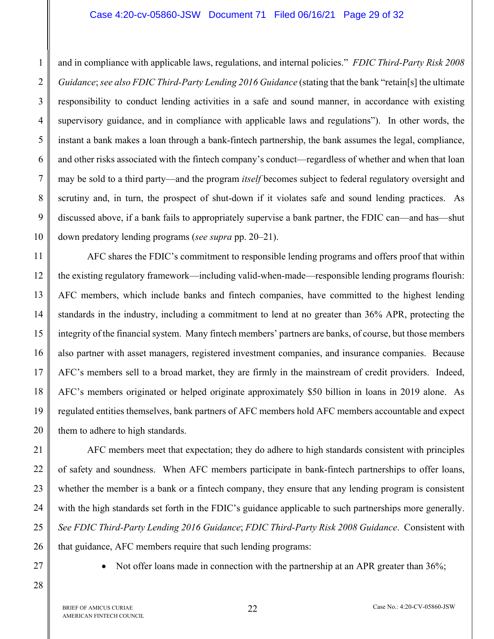#### Case 4:20-cv-05860-JSW Document 71 Filed 06/16/21 Page 29 of 32

and in compliance with applicable laws, regulations, and internal policies." *FDIC Third-Party Risk 2008 Guidance*; *see also FDIC Third-Party Lending 2016 Guidance* (stating that the bank "retain[s] the ultimate responsibility to conduct lending activities in a safe and sound manner, in accordance with existing supervisory guidance, and in compliance with applicable laws and regulations"). In other words, the instant a bank makes a loan through a bank-fintech partnership, the bank assumes the legal, compliance, and other risks associated with the fintech company's conduct—regardless of whether and when that loan may be sold to a third party—and the program *itself* becomes subject to federal regulatory oversight and scrutiny and, in turn, the prospect of shut-down if it violates safe and sound lending practices. As discussed above, if a bank fails to appropriately supervise a bank partner, the FDIC can—and has—shut down predatory lending programs (*see supra* pp. 20–21).

11 12 13 14 15 16 17 18 19 20 AFC shares the FDIC's commitment to responsible lending programs and offers proof that within the existing regulatory framework—including valid-when-made—responsible lending programs flourish: AFC members, which include banks and fintech companies, have committed to the highest lending standards in the industry, including a commitment to lend at no greater than 36% APR, protecting the integrity of the financial system. Many fintech members' partners are banks, of course, but those members also partner with asset managers, registered investment companies, and insurance companies. Because AFC's members sell to a broad market, they are firmly in the mainstream of credit providers. Indeed, AFC's members originated or helped originate approximately \$50 billion in loans in 2019 alone. As regulated entities themselves, bank partners of AFC members hold AFC members accountable and expect them to adhere to high standards.

AFC members meet that expectation; they do adhere to high standards consistent with principles of safety and soundness. When AFC members participate in bank-fintech partnerships to offer loans, whether the member is a bank or a fintech company, they ensure that any lending program is consistent with the high standards set forth in the FDIC's guidance applicable to such partnerships more generally. *See FDIC Third-Party Lending 2016 Guidance*; *FDIC Third-Party Risk 2008 Guidance*. Consistent with that guidance, AFC members require that such lending programs:

27

21

22

23

24

25

26

28

1

 $\mathcal{L}$ 

3

4

5

6

7

8

9

10

• Not offer loans made in connection with the partnership at an APR greater than 36%;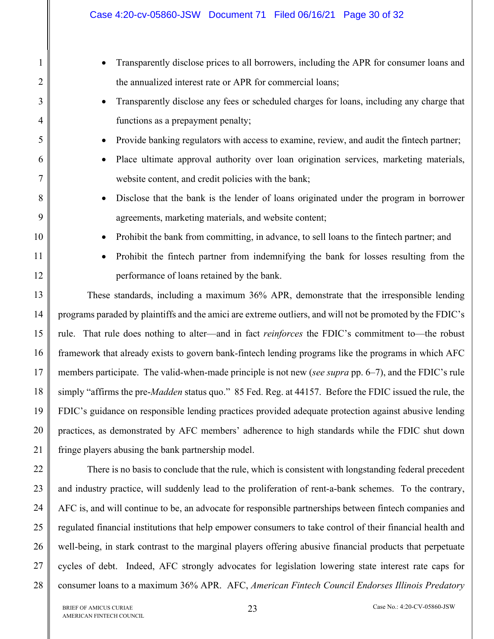|                | Case 4:20-cv-05860-JSW Document 71 Filed 06/16/21 Page 30 of 32                                                 |  |  |  |  |
|----------------|-----------------------------------------------------------------------------------------------------------------|--|--|--|--|
| $\mathbf{1}$   | Transparently disclose prices to all borrowers, including the APR for consumer loans and<br>$\bullet$           |  |  |  |  |
| $\overline{2}$ | the annualized interest rate or APR for commercial loans;                                                       |  |  |  |  |
| 3              | Transparently disclose any fees or scheduled charges for loans, including any charge that<br>$\bullet$          |  |  |  |  |
| $\overline{4}$ | functions as a prepayment penalty;                                                                              |  |  |  |  |
| 5              | Provide banking regulators with access to examine, review, and audit the fintech partner;<br>$\bullet$          |  |  |  |  |
| 6              | Place ultimate approval authority over loan origination services, marketing materials,<br>$\bullet$             |  |  |  |  |
| 7              | website content, and credit policies with the bank;                                                             |  |  |  |  |
| 8              | Disclose that the bank is the lender of loans originated under the program in borrower<br>$\bullet$             |  |  |  |  |
| 9              | agreements, marketing materials, and website content;                                                           |  |  |  |  |
| 10             | Prohibit the bank from committing, in advance, to sell loans to the fintech partner; and<br>$\bullet$           |  |  |  |  |
| 11             | Prohibit the fintech partner from indemnifying the bank for losses resulting from the<br>$\bullet$              |  |  |  |  |
| 12             | performance of loans retained by the bank.                                                                      |  |  |  |  |
| 13             | These standards, including a maximum 36% APR, demonstrate that the irresponsible lending                        |  |  |  |  |
| 14             | programs paraded by plaintiffs and the amici are extreme outliers, and will not be promoted by the FDIC's       |  |  |  |  |
| 15             | rule. That rule does nothing to alter—and in fact reinforces the FDIC's commitment to—the robust                |  |  |  |  |
| 16             | framework that already exists to govern bank-fintech lending programs like the programs in which AFC            |  |  |  |  |
| 17             | members participate. The valid-when-made principle is not new (see supra pp. 6–7), and the FDIC's rule          |  |  |  |  |
| 18             | simply "affirms the pre- <i>Madden</i> status quo." 85 Fed. Reg. at 44157. Before the FDIC issued the rule, the |  |  |  |  |
| 19             | FDIC's guidance on responsible lending practices provided adequate protection against abusive lending           |  |  |  |  |
| 20             | practices, as demonstrated by AFC members' adherence to high standards while the FDIC shut down                 |  |  |  |  |
| 21             | fringe players abusing the bank partnership model.                                                              |  |  |  |  |
| 22             | There is no basis to conclude that the rule, which is consistent with longstanding federal precedent            |  |  |  |  |

and industry practice, will suddenly lead to the proliferation of rent-a-bank schemes. To the contrary, AFC is, and will continue to be, an advocate for responsible partnerships between fintech companies and regulated financial institutions that help empower consumers to take control of their financial health and well-being, in stark contrast to the marginal players offering abusive financial products that perpetuate cycles of debt. Indeed, AFC strongly advocates for legislation lowering state interest rate caps for consumer loans to a maximum 36% APR. AFC, *American Fintech Council Endorses Illinois Predatory* 

23

24

25

26

27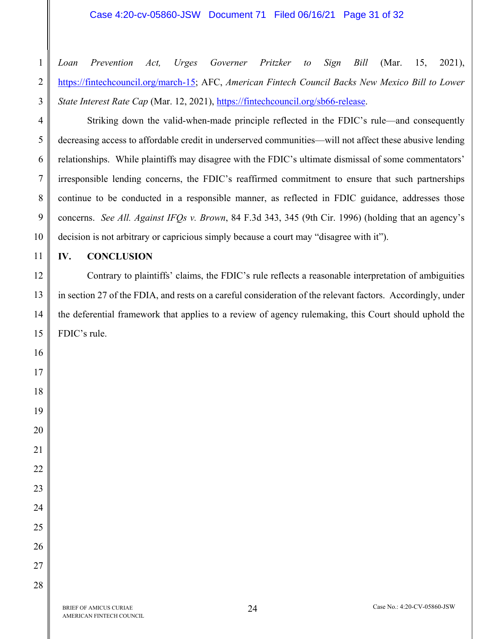#### Case 4:20-cv-05860-JSW Document 71 Filed 06/16/21 Page 31 of 32

*Loan Prevention Act, Urges Governer Pritzker to Sign Bill* (Mar. 15, 2021), [https://fintechcouncil.org/march-15; A](https://fintechcouncil.org/march-15)FC, *American Fintech Council Backs New Mexico Bill to Lower State Interest Rate Cap* (Mar. 12, 2021), *https://fintechcouncil.org/sb66-release.* 

Striking down the valid-when-made principle reflected in the FDIC's rule—and consequently decreasing access to affordable credit in underserved communities—will not affect these abusive lending relationships. While plaintiffs may disagree with the FDIC's ultimate dismissal of some commentators' irresponsible lending concerns, the FDIC's reaffirmed commitment to ensure that such partnerships continue to be conducted in a responsible manner, as reflected in FDIC guidance, addresses those concerns. *See All. Against IFQs v. Brown*, 84 F.3d 343, 345 (9th Cir. 1996) (holding that an agency's decision is not arbitrary or capricious simply because a court may "disagree with it").

**IV. CONCLUSION** 

Contrary to plaintiffs' claims, the FDIC's rule reflects a reasonable interpretation of ambiguities in section 27 of the FDIA, and rests on a careful consideration of the relevant factors. Accordingly, under the deferential framework that applies to a review of agency rulemaking, this Court should uphold the FDIC's rule.